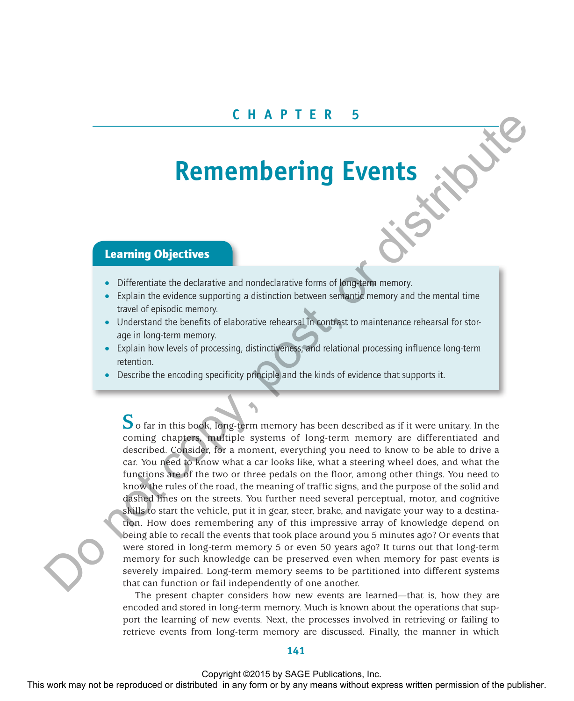# **Remembering Events**

# Learning Objectives

- Differentiate the declarative and nondeclarative forms of long-term memory.
- Explain the evidence supporting a distinction between semantic memory and the mental time travel of episodic memory.
- Understand the benefits of elaborative rehearsal in contrast to maintenance rehearsal for storage in long-term memory.
- Explain how levels of processing, distinctiveness, and relational processing influence long-term retention.
- Describe the encoding specificity principle and the kinds of evidence that supports it.

**S** o far in this book, long-term memory has been described as if it were unitary. In the coming chapters, multiple systems of long-term memory are differentiated and described. Consider, for a moment, everything you need to know to be able to drive a car. You need to know what a car looks like, what a steering wheel does, and what the functions are of the two or three pedals on the floor, among other things. You need to know the rules of the road, the meaning of traffic signs, and the purpose of the solid and dashed lines on the streets. You further need several perceptual, motor, and cognitive skills to start the vehicle, put it in gear, steer, brake, and navigate your way to a destination. How does remembering any of this impressive array of knowledge depend on being able to recall the events that took place around you 5 minutes ago? Or events that were stored in long-term memory 5 or even 50 years ago? It turns out that long-term memory for such knowledge can be preserved even when memory for past events is severely impaired. Long-term memory seems to be partitioned into different systems that can function or fail independently of one another. The computer or distributed in any method in any form or by any means with an any form or by any means without express with any form or by any means with the publisher. This was not contained to be a publisher. This was n

The present chapter considers how new events are learned—that is, how they are encoded and stored in long-term memory. Much is known about the operations that support the learning of new events. Next, the processes involved in retrieving or failing to retrieve events from long-term memory are discussed. Finally, the manner in which

# **141**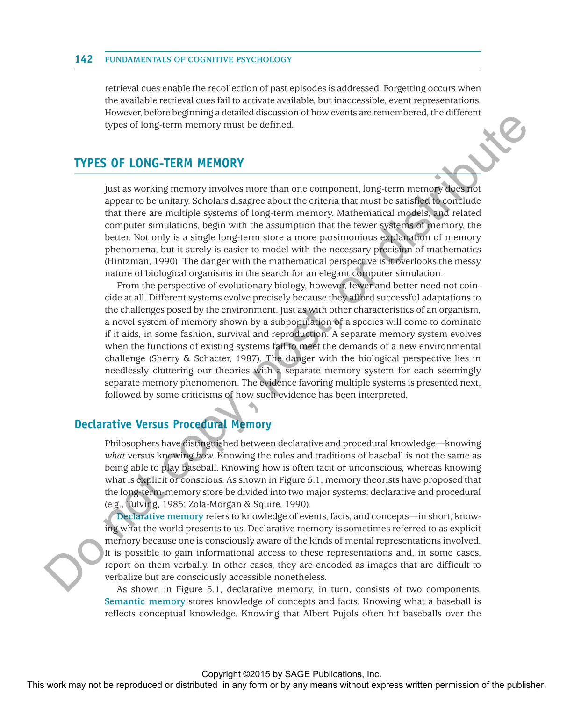retrieval cues enable the recollection of past episodes is addressed. Forgetting occurs when the available retrieval cues fail to activate available, but inaccessible, event representations. However, before beginning a detailed discussion of how events are remembered, the different types of long-term memory must be defined.

# **TYPES OF LONG-TERM MEMORY**

Just as working memory involves more than one component, long-term memory does not appear to be unitary. Scholars disagree about the criteria that must be satisfied to conclude that there are multiple systems of long-term memory. Mathematical models, and related computer simulations, begin with the assumption that the fewer systems of memory, the better. Not only is a single long-term store a more parsimonious explanation of memory phenomena, but it surely is easier to model with the necessary precision of mathematics (Hintzman, 1990). The danger with the mathematical perspective is it overlooks the messy nature of biological organisms in the search for an elegant computer simulation.

From the perspective of evolutionary biology, however, fewer and better need not coincide at all. Different systems evolve precisely because they afford successful adaptations to the challenges posed by the environment. Just as with other characteristics of an organism, a novel system of memory shown by a subpopulation of a species will come to dominate if it aids, in some fashion, survival and reproduction. A separate memory system evolves when the functions of existing systems fail to meet the demands of a new environmental challenge (Sherry & Schacter, 1987). The danger with the biological perspective lies in needlessly cluttering our theories with a separate memory system for each seemingly separate memory phenomenon. The evidence favoring multiple systems is presented next, followed by some criticisms of how such evidence has been interpreted. The assessment may not be reproduced or distributed in any form or by any means who could all any form or be reproduced to the publisher and the publisher and the publisher and the publisher. The publisher angle of the pub

# **Declarative Versus Procedural Memory**

Philosophers have distinguished between declarative and procedural knowledge—knowing *what* versus knowing *how.* Knowing the rules and traditions of baseball is not the same as being able to play baseball. Knowing how is often tacit or unconscious, whereas knowing what is explicit or conscious. As shown in Figure 5.1, memory theorists have proposed that the long-term-memory store be divided into two major systems: declarative and procedural (e.g., Tulving, 1985; Zola-Morgan & Squire, 1990).

**Declarative memory** refers to knowledge of events, facts, and concepts—in short, knowing what the world presents to us. Declarative memory is sometimes referred to as explicit memory because one is consciously aware of the kinds of mental representations involved. It is possible to gain informational access to these representations and, in some cases, report on them verbally. In other cases, they are encoded as images that are difficult to verbalize but are consciously accessible nonetheless.

As shown in Figure 5.1, declarative memory, in turn, consists of two components. **Semantic memory** stores knowledge of concepts and facts. Knowing what a baseball is reflects conceptual knowledge. Knowing that Albert Pujols often hit baseballs over the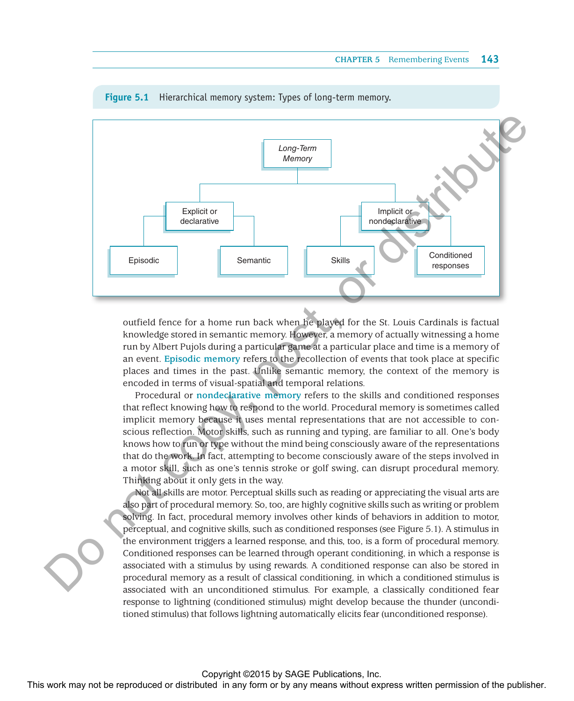

**Figure 5.1** Hierarchical memory system: Types of long-term memory.

outfield fence for a home run back when he played for the St. Louis Cardinals is factual knowledge stored in semantic memory. However, a memory of actually witnessing a home run by Albert Pujols during a particular game at a particular place and time is a memory of an event. **Episodic memory** refers to the recollection of events that took place at specific places and times in the past. Unlike semantic memory, the context of the memory is encoded in terms of visual-spatial and temporal relations.

Procedural or **nondeclarative memory** refers to the skills and conditioned responses that reflect knowing how to respond to the world. Procedural memory is sometimes called implicit memory because it uses mental representations that are not accessible to conscious reflection. Motor skills, such as running and typing, are familiar to all. One's body knows how to run or type without the mind being consciously aware of the representations that do the work. In fact, attempting to become consciously aware of the steps involved in a motor skill, such as one's tennis stroke or golf swing, can disrupt procedural memory. Thinking about it only gets in the way.

Not all skills are motor. Perceptual skills such as reading or appreciating the visual arts are also part of procedural memory. So, too, are highly cognitive skills such as writing or problem solving. In fact, procedural memory involves other kinds of behaviors in addition to motor, perceptual, and cognitive skills, such as conditioned responses (see Figure 5.1). A stimulus in the environment triggers a learned response, and this, too, is a form of procedural memory. Conditioned responses can be learned through operant conditioning, in which a response is associated with a stimulus by using rewards. A conditioned response can also be stored in procedural memory as a result of classical conditioning, in which a conditioned stimulus is associated with an unconditioned stimulus. For example, a classically conditioned fear response to lightning (conditioned stimulus) might develop because the thunder (unconditioned stimulus) that follows lightning automatically elicits fear (unconditioned response).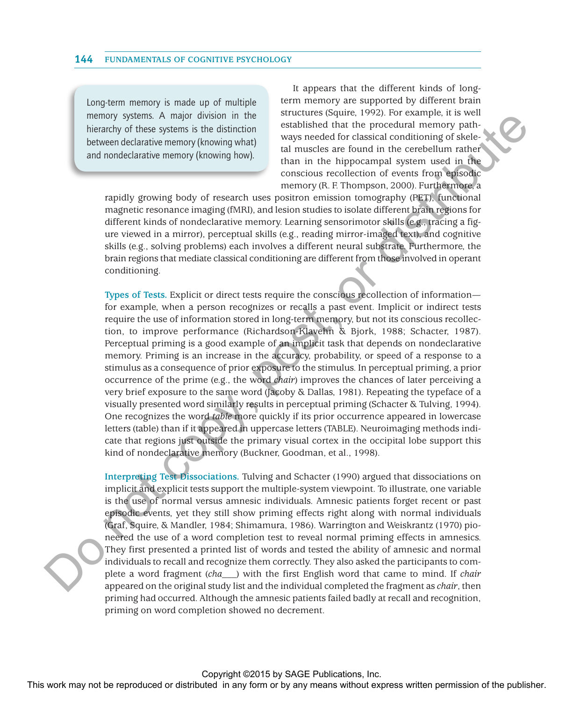Long-term memory is made up of multiple memory systems. A major division in the hierarchy of these systems is the distinction between declarative memory (knowing what) and nondeclarative memory (knowing how).

It appears that the different kinds of longterm memory are supported by different brain structures (Squire, 1992). For example, it is well established that the procedural memory pathways needed for classical conditioning of skeletal muscles are found in the cerebellum rather than in the hippocampal system used in the conscious recollection of events from episodic memory (R. F. Thompson, 2000). Furthermore, a

rapidly growing body of research uses positron emission tomography (PET), functional magnetic resonance imaging (fMRI), and lesion studies to isolate different brain regions for different kinds of nondeclarative memory. Learning sensorimotor skills (e.g., tracing a figure viewed in a mirror), perceptual skills (e.g., reading mirror-imaged text), and cognitive skills (e.g., solving problems) each involves a different neural substrate. Furthermore, the brain regions that mediate classical conditioning are different from those involved in operant conditioning.

**Types of Tests.** Explicit or direct tests require the conscious recollection of information for example, when a person recognizes or recalls a past event. Implicit or indirect tests require the use of information stored in long-term memory, but not its conscious recollection, to improve performance (Richardson-Klavehn & Bjork, 1988; Schacter, 1987). Perceptual priming is a good example of an implicit task that depends on nondeclarative memory. Priming is an increase in the accuracy, probability, or speed of a response to a stimulus as a consequence of prior exposure to the stimulus. In perceptual priming, a prior occurrence of the prime (e.g., the word *chair*) improves the chances of later perceiving a very brief exposure to the same word (Jacoby & Dallas, 1981). Repeating the typeface of a visually presented word similarly results in perceptual priming (Schacter & Tulving, 1994). One recognizes the word *table* more quickly if its prior occurrence appeared in lowercase letters (table) than if it appeared in uppercase letters (TABLE). Neuroimaging methods indicate that regions just outside the primary visual cortex in the occipital lobe support this kind of nondeclarative memory (Buckner, Goodman, et al., 1998). From the restriction of the restriction or the restriction or the restriction or the restriction or the restriction or the publisher of the publisher. This is the form of the publisher of the publisher. The publisher of t

**Interpreting Test Dissociations.** Tulving and Schacter (1990) argued that dissociations on implicit and explicit tests support the multiple-system viewpoint. To illustrate, one variable is the use of normal versus amnesic individuals. Amnesic patients forget recent or past episodic events, yet they still show priming effects right along with normal individuals (Graf, Squire, & Mandler, 1984; Shimamura, 1986). Warrington and Weiskrantz (1970) pioneered the use of a word completion test to reveal normal priming effects in amnesics. They first presented a printed list of words and tested the ability of amnesic and normal individuals to recall and recognize them correctly. They also asked the participants to complete a word fragment (*cha*\_\_\_) with the first English word that came to mind. If *chair* appeared on the original study list and the individual completed the fragment as *chair*, then priming had occurred. Although the amnesic patients failed badly at recall and recognition, priming on word completion showed no decrement.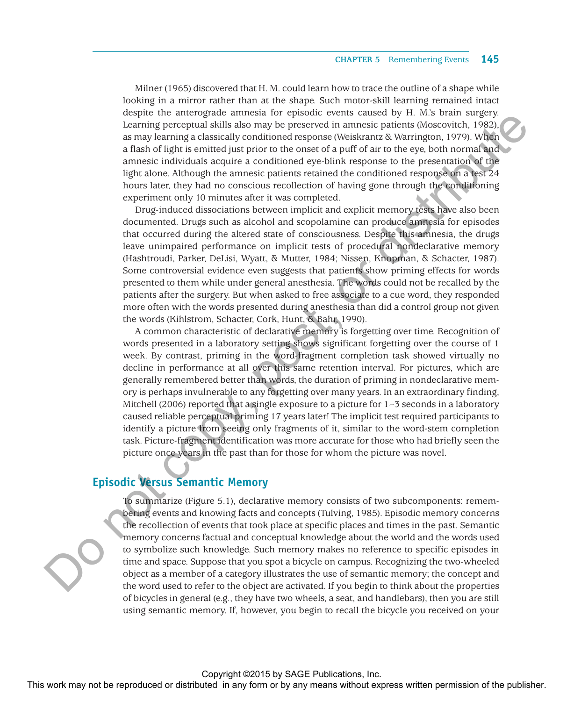Milner (1965) discovered that H. M. could learn how to trace the outline of a shape while looking in a mirror rather than at the shape. Such motor-skill learning remained intact despite the anterograde amnesia for episodic events caused by H. M.'s brain surgery. Learning perceptual skills also may be preserved in amnesic patients (Moscovitch, 1982), as may learning a classically conditioned response (Weiskrantz & Warrington, 1979). When a flash of light is emitted just prior to the onset of a puff of air to the eye, both normal and amnesic individuals acquire a conditioned eye-blink response to the presentation of the light alone. Although the amnesic patients retained the conditioned response on a test 24 hours later, they had no conscious recollection of having gone through the conditioning experiment only 10 minutes after it was completed.

Drug-induced dissociations between implicit and explicit memory tests have also been documented. Drugs such as alcohol and scopolamine can produce amnesia for episodes that occurred during the altered state of consciousness. Despite this amnesia, the drugs leave unimpaired performance on implicit tests of procedural nondeclarative memory (Hashtroudi, Parker, DeLisi, Wyatt, & Mutter, 1984; Nissen, Knopman, & Schacter, 1987). Some controversial evidence even suggests that patients show priming effects for words presented to them while under general anesthesia. The words could not be recalled by the patients after the surgery. But when asked to free associate to a cue word, they responded more often with the words presented during anesthesia than did a control group not given the words (Kihlstrom, Schacter, Cork, Hunt, & Bahr, 1990).

A common characteristic of declarative memory is forgetting over time. Recognition of words presented in a laboratory setting shows significant forgetting over the course of 1 week. By contrast, priming in the word-fragment completion task showed virtually no decline in performance at all over this same retention interval. For pictures, which are generally remembered better than words, the duration of priming in nondeclarative memory is perhaps invulnerable to any forgetting over many years. In an extraordinary finding, Mitchell (2006) reported that a single exposure to a picture for 1–3 seconds in a laboratory caused reliable perceptual priming 17 years later! The implicit test required participants to identify a picture from seeing only fragments of it, similar to the word-stem completion task. Picture-fragment identification was more accurate for those who had briefly seen the picture once years in the past than for those for whom the picture was novel. The rest or the rest in any form or the rest in any form or by any means with the rest in any form or by any means with the publisher. The publisher and the rest in the rest in the publisher. The publisher any form or by

# **Episodic Versus Semantic Memory**

To summarize (Figure 5.1), declarative memory consists of two subcomponents: remembering events and knowing facts and concepts (Tulving, 1985). Episodic memory concerns the recollection of events that took place at specific places and times in the past. Semantic memory concerns factual and conceptual knowledge about the world and the words used to symbolize such knowledge. Such memory makes no reference to specific episodes in time and space. Suppose that you spot a bicycle on campus. Recognizing the two-wheeled object as a member of a category illustrates the use of semantic memory; the concept and the word used to refer to the object are activated. If you begin to think about the properties of bicycles in general (e.g., they have two wheels, a seat, and handlebars), then you are still using semantic memory. If, however, you begin to recall the bicycle you received on your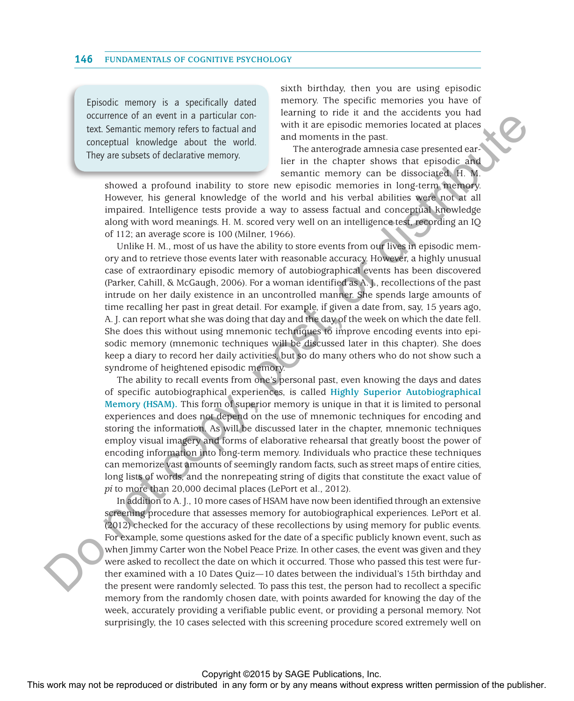Episodic memory is a specifically dated occurrence of an event in a particular context. Semantic memory refers to factual and conceptual knowledge about the world. They are subsets of declarative memory.

sixth birthday, then you are using episodic memory. The specific memories you have of learning to ride it and the accidents you had with it are episodic memories located at places and moments in the past.

The anterograde amnesia case presented earlier in the chapter shows that episodic and semantic memory can be dissociated. H. M.

showed a profound inability to store new episodic memories in long-term memory. However, his general knowledge of the world and his verbal abilities were not at all impaired. Intelligence tests provide a way to assess factual and conceptual knowledge along with word meanings. H. M. scored very well on an intelligence test, recording an IQ of 112; an average score is 100 (Milner, 1966).

Unlike H. M., most of us have the ability to store events from our lives in episodic memory and to retrieve those events later with reasonable accuracy. However, a highly unusual case of extraordinary episodic memory of autobiographical events has been discovered (Parker, Cahill, & McGaugh, 2006). For a woman identified as A. J., recollections of the past intrude on her daily existence in an uncontrolled manner. She spends large amounts of time recalling her past in great detail. For example, if given a date from, say, 15 years ago, A. J. can report what she was doing that day and the day of the week on which the date fell. She does this without using mnemonic techniques to improve encoding events into episodic memory (mnemonic techniques will be discussed later in this chapter). She does keep a diary to record her daily activities, but so do many others who do not show such a syndrome of heightened episodic memory.

The ability to recall events from one's personal past, even knowing the days and dates of specific autobiographical experiences, is called **Highly Superior Autobiographical Memory (HSAM).** This form of superior memory is unique in that it is limited to personal experiences and does not depend on the use of mnemonic techniques for encoding and storing the information. As will be discussed later in the chapter, mnemonic techniques employ visual imagery and forms of elaborative rehearsal that greatly boost the power of encoding information into long-term memory. Individuals who practice these techniques can memorize vast amounts of seemingly random facts, such as street maps of entire cities, long lists of words, and the nonrepeating string of digits that constitute the exact value of *pi* to more than 20,000 decimal places (LePort et al., 2012).

In addition to A. J., 10 more cases of HSAM have now been identified through an extensive screening procedure that assesses memory for autobiographical experiences. LePort et al. (2012) checked for the accuracy of these recollections by using memory for public events. For example, some questions asked for the date of a specific publicly known event, such as when Jimmy Carter won the Nobel Peace Prize. In other cases, the event was given and they were asked to recollect the date on which it occurred. Those who passed this test were further examined with a 10 Dates Quiz—10 dates between the individual's 15th birthday and the present were randomly selected. To pass this test, the person had to recollect a specific memory from the randomly chosen date, with points awarded for knowing the day of the week, accurately providing a verifiable public event, or providing a personal memory. Not surprisingly, the 10 cases selected with this screening procedure scored extremely well on The matrix may not be represented or the representation of the publisher and the publisher and the publisher angle of the publisher angle of the publisher angle of the publisher angle of the publisher angle of the publis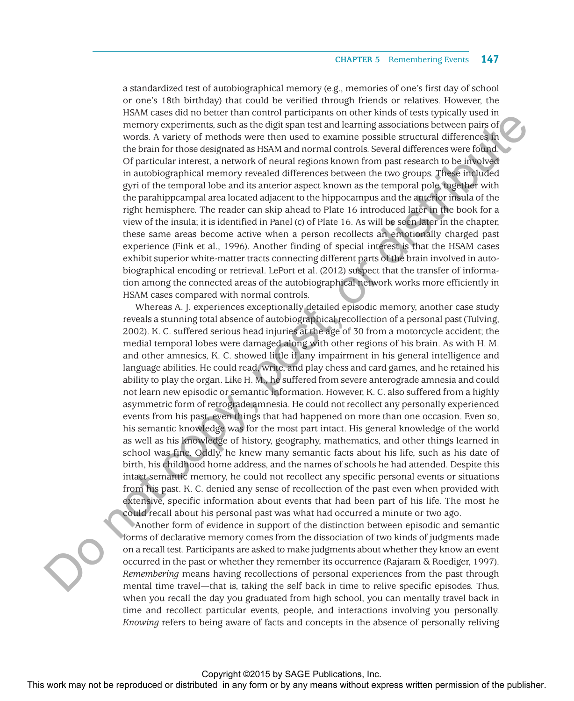a standardized test of autobiographical memory (e.g., memories of one's first day of school or one's 18th birthday) that could be verified through friends or relatives. However, the HSAM cases did no better than control participants on other kinds of tests typically used in memory experiments, such as the digit span test and learning associations between pairs of words. A variety of methods were then used to examine possible structural differences in the brain for those designated as HSAM and normal controls. Several differences were found. Of particular interest, a network of neural regions known from past research to be involved in autobiographical memory revealed differences between the two groups. These included gyri of the temporal lobe and its anterior aspect known as the temporal pole, together with the parahippcampal area located adjacent to the hippocampus and the anterior insula of the right hemisphere. The reader can skip ahead to Plate 16 introduced later in the book for a view of the insula; it is identified in Panel (c) of Plate 16. As will be seen later in the chapter, these same areas become active when a person recollects an emotionally charged past experience (Fink et al., 1996). Another finding of special interest is that the HSAM cases exhibit superior white-matter tracts connecting different parts of the brain involved in autobiographical encoding or retrieval. LePort et al. (2012) suspect that the transfer of information among the connected areas of the autobiographical network works more efficiently in HSAM cases compared with normal controls.

Whereas A. J. experiences exceptionally detailed episodic memory, another case study reveals a stunning total absence of autobiographical recollection of a personal past (Tulving, 2002). K. C. suffered serious head injuries at the age of 30 from a motorcycle accident; the medial temporal lobes were damaged along with other regions of his brain. As with H. M. and other amnesics, K. C. showed little if any impairment in his general intelligence and language abilities. He could read, write, and play chess and card games, and he retained his ability to play the organ. Like H. M., he suffered from severe anterograde amnesia and could not learn new episodic or semantic information. However, K. C. also suffered from a highly asymmetric form of retrograde amnesia. He could not recollect any personally experienced events from his past, even things that had happened on more than one occasion. Even so, his semantic knowledge was for the most part intact. His general knowledge of the world as well as his knowledge of history, geography, mathematics, and other things learned in school was fine. Oddly, he knew many semantic facts about his life, such as his date of birth, his childhood home address, and the names of schools he had attended. Despite this intact semantic memory, he could not recollect any specific personal events or situations from his past. K. C. denied any sense of recollection of the past even when provided with extensive, specific information about events that had been part of his life. The most he could recall about his personal past was what had occurred a minute or two ago. The may notice is the repressented or the repression of the reproduced or distributed in any form or by any means with  $\alpha$  the reproduced or the publisher of the rest or  $\alpha$  the reproduced or the publisher of the publis

Another form of evidence in support of the distinction between episodic and semantic forms of declarative memory comes from the dissociation of two kinds of judgments made on a recall test. Participants are asked to make judgments about whether they know an event occurred in the past or whether they remember its occurrence (Rajaram & Roediger, 1997). *Remembering* means having recollections of personal experiences from the past through mental time travel—that is, taking the self back in time to relive specific episodes. Thus, when you recall the day you graduated from high school, you can mentally travel back in time and recollect particular events, people, and interactions involving you personally. *Knowing* refers to being aware of facts and concepts in the absence of personally reliving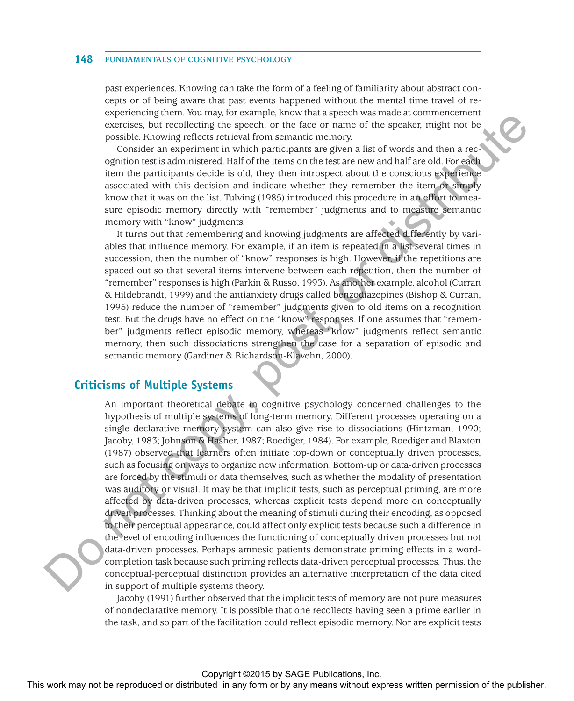past experiences. Knowing can take the form of a feeling of familiarity about abstract concepts or of being aware that past events happened without the mental time travel of reexperiencing them. You may, for example, know that a speech was made at commencement exercises, but recollecting the speech, or the face or name of the speaker, might not be possible. Knowing reflects retrieval from semantic memory.

Consider an experiment in which participants are given a list of words and then a recognition test is administered. Half of the items on the test are new and half are old. For each item the participants decide is old, they then introspect about the conscious experience associated with this decision and indicate whether they remember the item or simply know that it was on the list. Tulving (1985) introduced this procedure in an effort to measure episodic memory directly with "remember" judgments and to measure semantic memory with "know" judgments.

It turns out that remembering and knowing judgments are affected differently by variables that influence memory. For example, if an item is repeated in a list several times in succession, then the number of "know" responses is high. However, if the repetitions are spaced out so that several items intervene between each repetition, then the number of "remember" responses is high (Parkin & Russo, 1993). As another example, alcohol (Curran & Hildebrandt, 1999) and the antianxiety drugs called benzodiazepines (Bishop & Curran, 1995) reduce the number of "remember" judgments given to old items on a recognition test. But the drugs have no effect on the "know" responses. If one assumes that "remember" judgments reflect episodic memory, whereas "know" judgments reflect semantic memory, then such dissociations strengthen the case for a separation of episodic and semantic memory (Gardiner & Richardson-Klavehn, 2000).

# **Criticisms of Multiple Systems**

An important theoretical debate in cognitive psychology concerned challenges to the hypothesis of multiple systems of long-term memory. Different processes operating on a single declarative memory system can also give rise to dissociations (Hintzman, 1990; Jacoby, 1983; Johnson & Hasher, 1987; Roediger, 1984). For example, Roediger and Blaxton (1987) observed that learners often initiate top-down or conceptually driven processes, such as focusing on ways to organize new information. Bottom-up or data-driven processes are forced by the stimuli or data themselves, such as whether the modality of presentation was auditory or visual. It may be that implicit tests, such as perceptual priming, are more affected by data-driven processes, whereas explicit tests depend more on conceptually driven processes. Thinking about the meaning of stimuli during their encoding, as opposed to their perceptual appearance, could affect only explicit tests because such a difference in the level of encoding influences the functioning of conceptually driven processes but not data-driven processes. Perhaps amnesic patients demonstrate priming effects in a wordcompletion task because such priming reflects data-driven perceptual processes. Thus, the conceptual-perceptual distinction provides an alternative interpretation of the data cited in support of multiple systems theory. Experience the member of means with resolution of the reproduced in any form or by any form or distributed in any form or between the value of the publisher. The control of the publisher or distributed in any form or betw

Jacoby (1991) further observed that the implicit tests of memory are not pure measures of nondeclarative memory. It is possible that one recollects having seen a prime earlier in the task, and so part of the facilitation could reflect episodic memory. Nor are explicit tests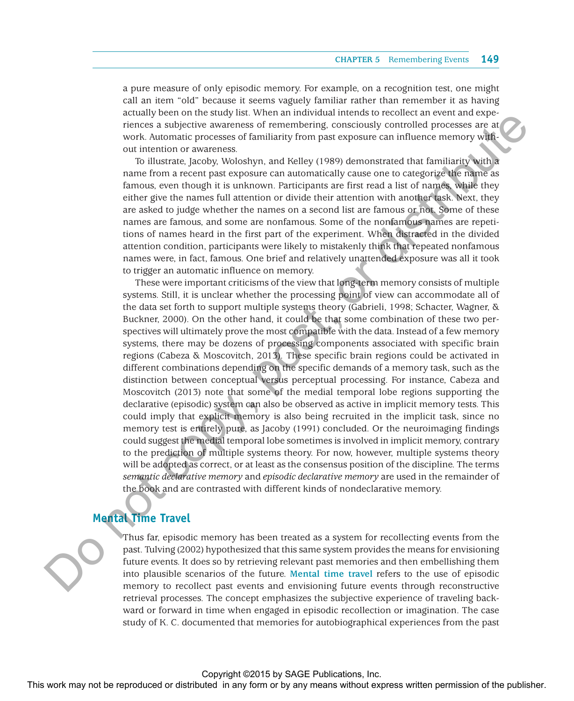a pure measure of only episodic memory. For example, on a recognition test, one might call an item "old" because it seems vaguely familiar rather than remember it as having actually been on the study list. When an individual intends to recollect an event and experiences a subjective awareness of remembering, consciously controlled processes are at work. Automatic processes of familiarity from past exposure can influence memory without intention or awareness.

To illustrate, Jacoby, Woloshyn, and Kelley (1989) demonstrated that familiarity with a name from a recent past exposure can automatically cause one to categorize the name as famous, even though it is unknown. Participants are first read a list of names, while they either give the names full attention or divide their attention with another task. Next, they are asked to judge whether the names on a second list are famous or not. Some of these names are famous, and some are nonfamous. Some of the nonfamous names are repetitions of names heard in the first part of the experiment. When distracted in the divided attention condition, participants were likely to mistakenly think that repeated nonfamous names were, in fact, famous. One brief and relatively unattended exposure was all it took to trigger an automatic influence on memory.

These were important criticisms of the view that long-term memory consists of multiple systems. Still, it is unclear whether the processing point of view can accommodate all of the data set forth to support multiple systems theory (Gabrieli, 1998; Schacter, Wagner, & Buckner, 2000). On the other hand, it could be that some combination of these two perspectives will ultimately prove the most compatible with the data. Instead of a few memory systems, there may be dozens of processing components associated with specific brain regions (Cabeza & Moscovitch, 2013). These specific brain regions could be activated in different combinations depending on the specific demands of a memory task, such as the distinction between conceptual versus perceptual processing. For instance, Cabeza and Moscovitch (2013) note that some of the medial temporal lobe regions supporting the declarative (episodic) system can also be observed as active in implicit memory tests. This could imply that explicit memory is also being recruited in the implicit task, since no memory test is entirely pure, as Jacoby (1991) concluded. Or the neuroimaging findings could suggest the medial temporal lobe sometimes is involved in implicit memory, contrary to the prediction of multiple systems theory. For now, however, multiple systems theory will be adopted as correct, or at least as the consensus position of the discipline. The terms *semantic declarative memory* and *episodic declarative memory* are used in the remainder of the book and are contrasted with different kinds of nondeclarative memory. The rest work may not be reproduced or distributed in any form or by any form or by any form or the reproduced or distribution or  $\theta$  any  $\theta$  any form or any form or by any form or any form or by any form or by any  $\theta$ 

# **Mental Time Travel**

Thus far, episodic memory has been treated as a system for recollecting events from the past. Tulving (2002) hypothesized that this same system provides the means for envisioning future events. It does so by retrieving relevant past memories and then embellishing them into plausible scenarios of the future. **Mental time travel** refers to the use of episodic memory to recollect past events and envisioning future events through reconstructive retrieval processes. The concept emphasizes the subjective experience of traveling backward or forward in time when engaged in episodic recollection or imagination. The case study of K. C. documented that memories for autobiographical experiences from the past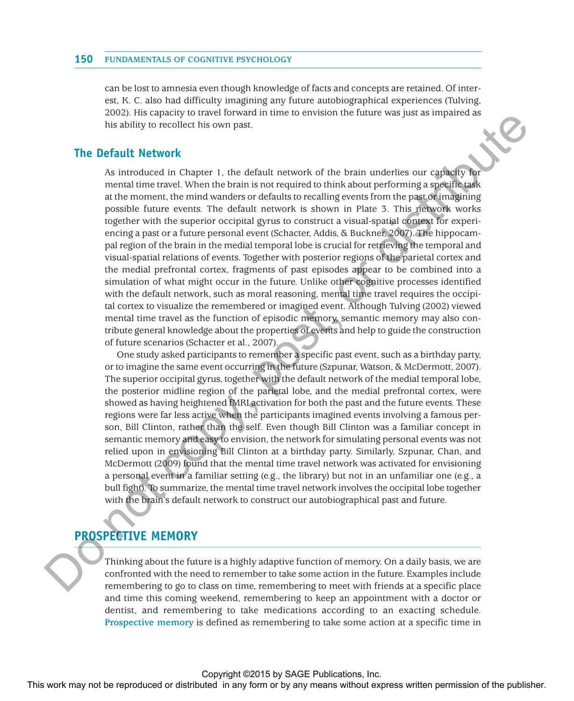can be lost to amnesia even though knowledge of facts and concepts are retained. Of interest, K. C. also had difficulty imagining any future autobiographical experiences (Tulving, 2002). His capacity to travel forward in time to envision the future was just as impaired as his ability to recollect his own past.

# **The Default Network**

As introduced in Chapter 1, the default network of the brain underlies our capacity for mental time travel. When the brain is not required to think about performing a specific task at the moment, the mind wanders or defaults to recalling events from the past or imagining possible future events. The default network is shown in Plate 3. This network works together with the superior occipital gyrus to construct a visual-spatial context for experiencing a past or a future personal event (Schacter, Addis, & Buckner, 2007). The hippocampal region of the brain in the medial temporal lobe is crucial for retrieving the temporal and visual-spatial relations of events. Together with posterior regions of the parietal cortex and the medial prefrontal cortex, fragments of past episodes appear to be combined into a simulation of what might occur in the future. Unlike other cognitive processes identified with the default network, such as moral reasoning, mental time travel requires the occipital cortex to visualize the remembered or imagined event. Although Tulving (2002) viewed mental time travel as the function of episodic memory, semantic memory may also contribute general knowledge about the properties of events and help to guide the construction of future scenarios (Schacter et al., 2007). EXAMPLE INTERFACT IN the reproduced or distributed in any form of the results are express with the results of the results of the results of the results of the results of the results of the publisher. This behavior or beha

One study asked participants to remember a specific past event, such as a birthday party, or to imagine the same event occurring in the future (Szpunar, Watson, & McDermott, 2007). The superior occipital gyrus, together with the default network of the medial temporal lobe, the posterior midline region of the parietal lobe, and the medial prefrontal cortex, were showed as having heightened fMRI activation for both the past and the future events. These regions were far less active when the participants imagined events involving a famous person, Bill Clinton, rather than the self. Even though Bill Clinton was a familiar concept in semantic memory and easy to envision, the network for simulating personal events was not relied upon in envisioning Bill Clinton at a birthday party. Similarly, Szpunar, Chan, and McDermott (2009) found that the mental time travel network was activated for envisioning a personal event in a familiar setting (e.g., the library) but not in an unfamiliar one (e.g., a bull fight). To summarize, the mental time travel network involves the occipital lobe together with the brain's default network to construct our autobiographical past and future.

# **PROSPECTIVE MEMORY**

Thinking about the future is a highly adaptive function of memory. On a daily basis, we are confronted with the need to remember to take some action in the future. Examples include remembering to go to class on time, remembering to meet with friends at a specific place and time this coming weekend, remembering to keep an appointment with a doctor or dentist, and remembering to take medications according to an exacting schedule. **Prospective memory** is defined as remembering to take some action at a specific time in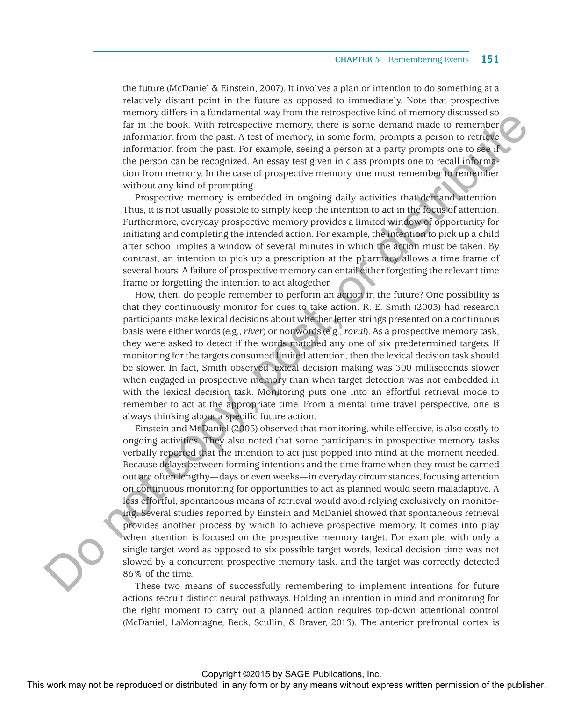the future (McDaniel & Einstein, 2007). It involves a plan or intention to do something at a relatively distant point in the future as opposed to immediately. Note that prospective memory differs in a fundamental way from the retrospective kind of memory discussed so far in the book. With retrospective memory, there is some demand made to remember information from the past. A test of memory, in some form, prompts a person to retrieve information from the past. For example, seeing a person at a party prompts one to see if the person can be recognized. An essay test given in class prompts one to recall information from memory. In the case of prospective memory, one must remember to remember without any kind of prompting.

Prospective memory is embedded in ongoing daily activities that demand attention. Thus, it is not usually possible to simply keep the intention to act in the focus of attention. Furthermore, everyday prospective memory provides a limited window of opportunity for initiating and completing the intended action. For example, the intention to pick up a child after school implies a window of several minutes in which the action must be taken. By contrast, an intention to pick up a prescription at the pharmacy allows a time frame of several hours. A failure of prospective memory can entail either forgetting the relevant time frame or forgetting the intention to act altogether.

How, then, do people remember to perform an action in the future? One possibility is that they continuously monitor for cues to take action. R. E. Smith (2003) had research participants make lexical decisions about whether letter strings presented on a continuous basis were either words (e.g., *river*) or nonwords (e.g., *rovul*). As a prospective memory task, they were asked to detect if the words matched any one of six predetermined targets. If monitoring for the targets consumed limited attention, then the lexical decision task should be slower. In fact, Smith observed lexical decision making was 300 milliseconds slower when engaged in prospective memory than when target detection was not embedded in with the lexical decision task. Monitoring puts one into an effortful retrieval mode to remember to act at the appropriate time. From a mental time travel perspective, one is always thinking about a specific future action.

Einstein and McDaniel (2005) observed that monitoring, while effective, is also costly to ongoing activities. They also noted that some participants in prospective memory tasks verbally reported that the intention to act just popped into mind at the moment needed. Because delays between forming intentions and the time frame when they must be carried out are often lengthy—days or even weeks—in everyday circumstances, focusing attention on continuous monitoring for opportunities to act as planned would seem maladaptive. A less effortful, spontaneous means of retrieval would avoid relying exclusively on monitoring. Several studies reported by Einstein and McDaniel showed that spontaneous retrieval provides another process by which to achieve prospective memory. It comes into play when attention is focused on the prospective memory target. For example, with only a single target word as opposed to six possible target words, lexical decision time was not slowed by a concurrent prospective memory task, and the target was correctly detected 86% of the time. The this work may not be reproduced or the publisher and the representation of the publisher and the reproduced or the publisher and  $\alpha$  any point of the publisher and  $\alpha$  and  $\alpha$  and  $\alpha$  and  $\alpha$  and  $\alpha$  and  $\alpha$  an

These two means of successfully remembering to implement intentions for future actions recruit distinct neural pathways. Holding an intention in mind and monitoring for the right moment to carry out a planned action requires top-down attentional control (McDaniel, LaMontagne, Beck, Scullin, & Braver, 2013). The anterior prefrontal cortex is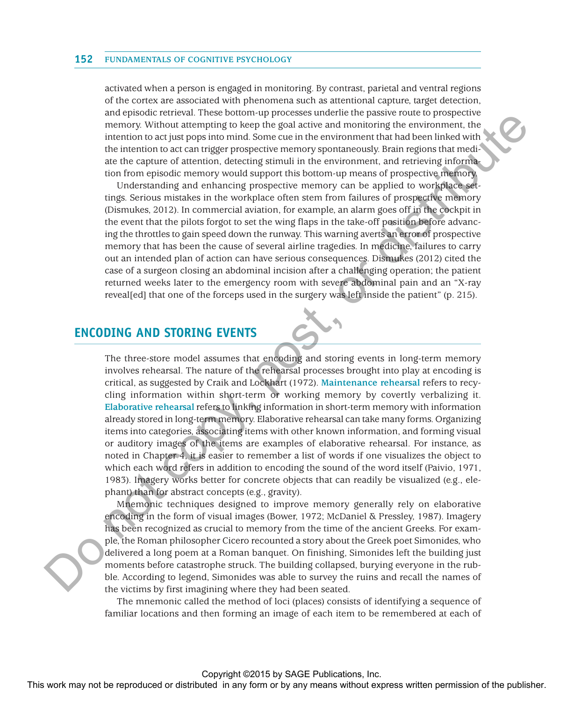activated when a person is engaged in monitoring. By contrast, parietal and ventral regions of the cortex are associated with phenomena such as attentional capture, target detection, and episodic retrieval. These bottom-up processes underlie the passive route to prospective memory. Without attempting to keep the goal active and monitoring the environment, the intention to act just pops into mind. Some cue in the environment that had been linked with the intention to act can trigger prospective memory spontaneously. Brain regions that mediate the capture of attention, detecting stimuli in the environment, and retrieving information from episodic memory would support this bottom-up means of prospective memory.

Understanding and enhancing prospective memory can be applied to workplace settings. Serious mistakes in the workplace often stem from failures of prospective memory (Dismukes, 2012). In commercial aviation, for example, an alarm goes off in the cockpit in the event that the pilots forgot to set the wing flaps in the take-off position before advancing the throttles to gain speed down the runway. This warning averts an error of prospective memory that has been the cause of several airline tragedies. In medicine, failures to carry out an intended plan of action can have serious consequences. Dismukes (2012) cited the case of a surgeon closing an abdominal incision after a challenging operation; the patient returned weeks later to the emergency room with severe abdominal pain and an "X-ray reveal[ed] that one of the forceps used in the surgery was left inside the patient" (p. 215).

# **ENCODING AND STORING EVENTS**

The three-store model assumes that encoding and storing events in long-term memory involves rehearsal. The nature of the rehearsal processes brought into play at encoding is critical, as suggested by Craik and Lockhart (1972). **Maintenance rehearsal** refers to recycling information within short-term or working memory by covertly verbalizing it. **Elaborative rehearsal** refers to linking information in short-term memory with information already stored in long-term memory. Elaborative rehearsal can take many forms. Organizing items into categories, associating items with other known information, and forming visual or auditory images of the items are examples of elaborative rehearsal. For instance, as noted in Chapter 4, it is easier to remember a list of words if one visualizes the object to which each word refers in addition to encoding the sound of the word itself (Paivio, 1971, 1983). Imagery works better for concrete objects that can readily be visualized (e.g., elephant) than for abstract concepts (e.g., gravity). The means of the repression or the publishering the repression of the publishering in any form or by any means when the reproduced in any means we computed in any form or by any means of the publishering in any form or by

Mnemonic techniques designed to improve memory generally rely on elaborative encoding in the form of visual images (Bower, 1972; McDaniel & Pressley, 1987). Imagery has been recognized as crucial to memory from the time of the ancient Greeks. For example, the Roman philosopher Cicero recounted a story about the Greek poet Simonides, who delivered a long poem at a Roman banquet. On finishing, Simonides left the building just moments before catastrophe struck. The building collapsed, burying everyone in the rubble. According to legend, Simonides was able to survey the ruins and recall the names of the victims by first imagining where they had been seated.

The mnemonic called the method of loci (places) consists of identifying a sequence of familiar locations and then forming an image of each item to be remembered at each of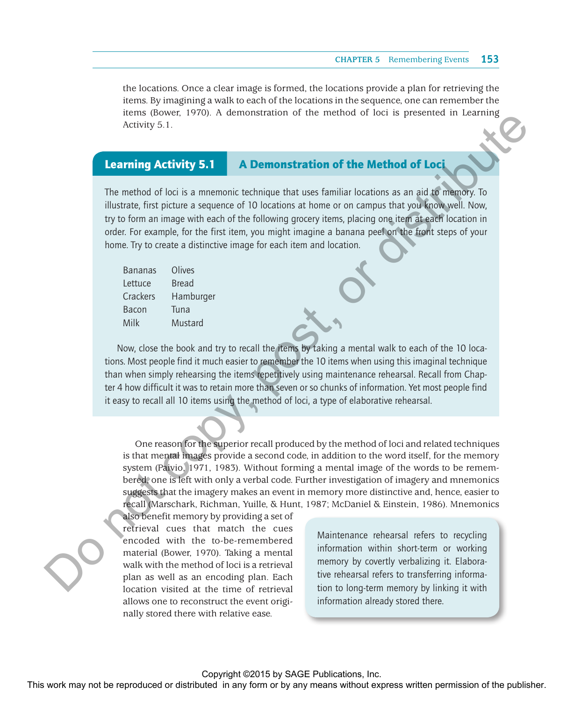the locations. Once a clear image is formed, the locations provide a plan for retrieving the items. By imagining a walk to each of the locations in the sequence, one can remember the items (Bower, 1970). A demonstration of the method of loci is presented in Learning Activity 5.1.

# Learning Activity 5.1 A Demonstration of the Method of Loci

The method of loci is a mnemonic technique that uses familiar locations as an aid to memory. To illustrate, first picture a sequence of 10 locations at home or on campus that you know well. Now, try to form an image with each of the following grocery items, placing one item at each location in order. For example, for the first item, you might imagine a banana peel on the front steps of your home. Try to create a distinctive image for each item and location.

| Bananas  | Olives       |
|----------|--------------|
| Lettuce  | <b>Bread</b> |
| Crackers | Hamburger    |
| Bacon    | Tuna         |
| Milk     | Mustard      |
|          |              |

Now, close the book and try to recall the items by taking a mental walk to each of the 10 locations. Most people find it much easier to remember the 10 items when using this imaginal technique than when simply rehearsing the items repetitively using maintenance rehearsal. Recall from Chapter 4 how difficult it was to retain more than seven or so chunks of information. Yet most people find it easy to recall all 10 items using the method of loci, a type of elaborative rehearsal.

One reason for the superior recall produced by the method of loci and related techniques is that mental images provide a second code, in addition to the word itself, for the memory system (Paivio, 1971, 1983). Without forming a mental image of the words to be remembered, one is left with only a verbal code. Further investigation of imagery and mnemonics suggests that the imagery makes an event in memory more distinctive and, hence, easier to recall (Marschark, Richman, Yuille, & Hunt, 1987; McDaniel & Einstein, 1986). Mnemonics The may not be repressed or distributed in any form or by any means which distributed in any form or by any means with  $\frac{1}{2}$  and  $\frac{1}{2}$  and  $\frac{1}{2}$  and  $\frac{1}{2}$  and  $\frac{1}{2}$  and  $\frac{1}{2}$  and  $\frac{1}{2}$  and  $\frac{$ 

also benefit memory by providing a set of retrieval cues that match the cues encoded with the to-be-remembered material (Bower, 1970). Taking a mental walk with the method of loci is a retrieval plan as well as an encoding plan. Each location visited at the time of retrieval allows one to reconstruct the event originally stored there with relative ease.

Maintenance rehearsal refers to recycling information within short-term or working memory by covertly verbalizing it. Elaborative rehearsal refers to transferring information to long-term memory by linking it with information already stored there.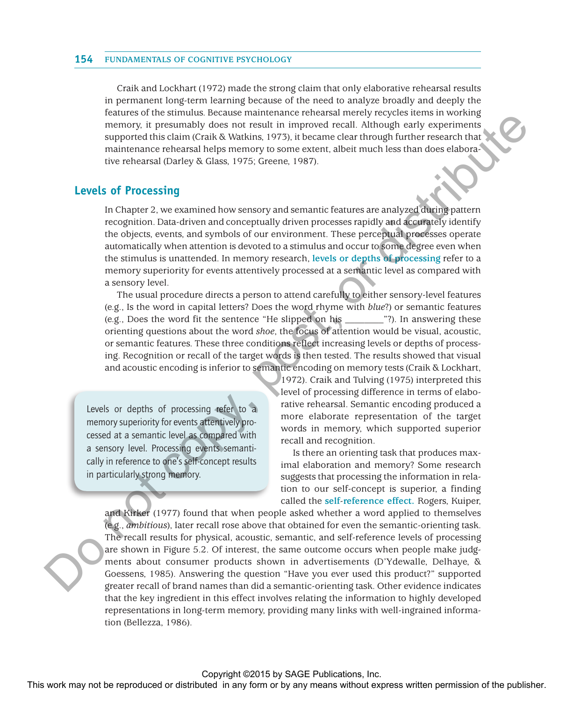Craik and Lockhart (1972) made the strong claim that only elaborative rehearsal results in permanent long-term learning because of the need to analyze broadly and deeply the features of the stimulus. Because maintenance rehearsal merely recycles items in working memory, it presumably does not result in improved recall. Although early experiments supported this claim (Craik & Watkins, 1973), it became clear through further research that maintenance rehearsal helps memory to some extent, albeit much less than does elaborative rehearsal (Darley & Glass, 1975; Greene, 1987).

# **Levels of Processing**

In Chapter 2, we examined how sensory and semantic features are analyzed during pattern recognition. Data-driven and conceptually driven processes rapidly and accurately identify the objects, events, and symbols of our environment. These perceptual processes operate automatically when attention is devoted to a stimulus and occur to some degree even when the stimulus is unattended. In memory research, **levels or depths of processing** refer to a memory superiority for events attentively processed at a semantic level as compared with a sensory level.

The usual procedure directs a person to attend carefully to either sensory-level features (e.g., Is the word in capital letters? Does the word rhyme with *blue*?) or semantic features (e.g., Does the word fit the sentence "He slipped on his \_\_\_\_\_\_\_\_"?). In answering these orienting questions about the word *shoe*, the focus of attention would be visual, acoustic, or semantic features. These three conditions reflect increasing levels or depths of processing. Recognition or recall of the target words is then tested. The results showed that visual and acoustic encoding is inferior to semantic encoding on memory tests (Craik & Lockhart,

Levels or depths of processing refer to a memory superiority for events attentively processed at a semantic level as compared with a sensory level. Processing events semantically in reference to one's self-concept results in particularly strong memory.

1972). Craik and Tulving (1975) interpreted this level of processing difference in terms of elaborative rehearsal. Semantic encoding produced a more elaborate representation of the target words in memory, which supported superior recall and recognition.

Is there an orienting task that produces maximal elaboration and memory? Some research suggests that processing the information in relation to our self-concept is superior, a finding called the **self**-**reference effect.** Rogers, Kuiper,

and Kirker (1977) found that when people asked whether a word applied to themselves (e.g., *ambitious*), later recall rose above that obtained for even the semantic-orienting task. The recall results for physical, acoustic, semantic, and self-reference levels of processing are shown in Figure 5.2. Of interest, the same outcome occurs when people make judgments about consumer products shown in advertisements (D'Ydewalle, Delhaye, & Goessens, 1985). Answering the question "Have you ever used this product?" supported greater recall of brand names than did a semantic-orienting task. Other evidence indicates that the key ingredient in this effect involves relating the information to highly developed representations in long-term memory, providing many links with well-ingrained information (Bellezza, 1986). The matrix may not be reproduced or the reproduced or distributed in any form or by any means when  $\alpha$  any form or by any means with  $\alpha$  any form or by any means with  $\alpha$  any  $\alpha$  and  $\alpha$  any  $\alpha$  any  $\alpha$  any  $\alpha$  an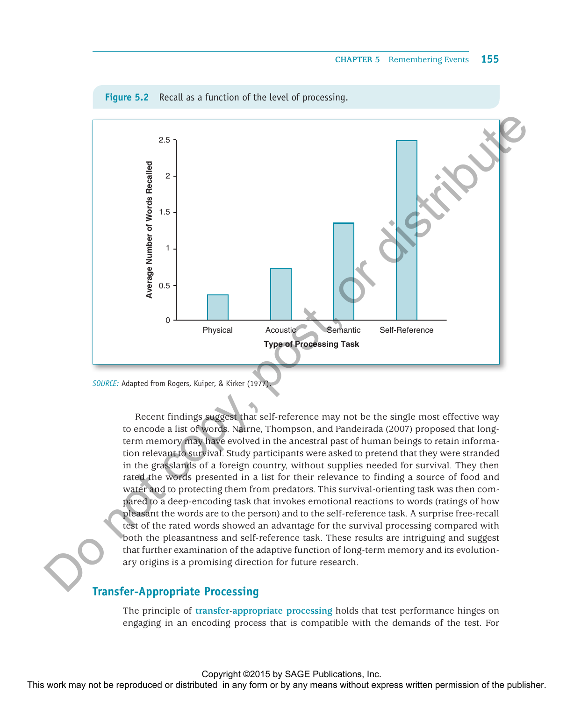

**Figure 5.2** Recall as a function of the level of processing.

*SOURCE:* Adapted from Rogers, Kuiper, & Kirker (197

Recent findings suggest that self-reference may not be the single most effective way to encode a list of words. Nairne, Thompson, and Pandeirada (2007) proposed that longterm memory may have evolved in the ancestral past of human beings to retain information relevant to survival. Study participants were asked to pretend that they were stranded in the grasslands of a foreign country, without supplies needed for survival. They then rated the words presented in a list for their relevance to finding a source of food and water and to protecting them from predators. This survival-orienting task was then compared to a deep-encoding task that invokes emotional reactions to words (ratings of how pleasant the words are to the person) and to the self-reference task. A surprise free-recall test of the rated words showed an advantage for the survival processing compared with both the pleasantness and self-reference task. These results are intriguing and suggest that further examination of the adaptive function of long-term memory and its evolutionary origins is a promising direction for future research.

# **Transfer-Appropriate Processing**

The principle of **transfer**-**appropriate processing** holds that test performance hinges on engaging in an encoding process that is compatible with the demands of the test. For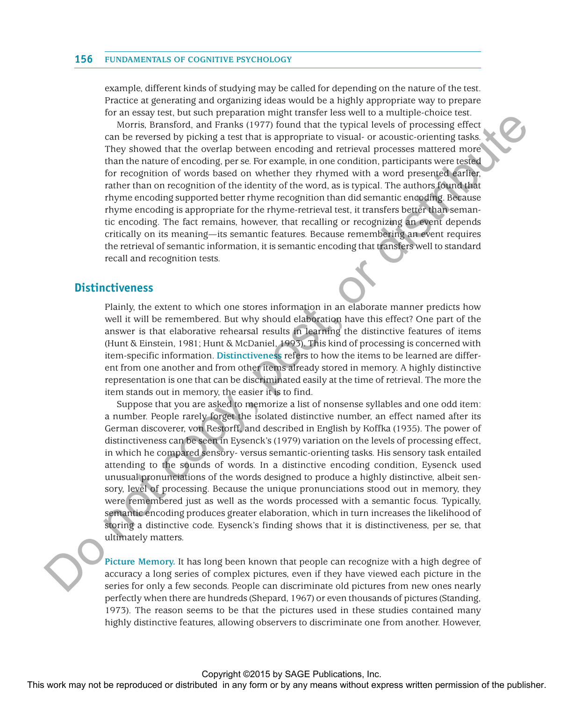example, different kinds of studying may be called for depending on the nature of the test. Practice at generating and organizing ideas would be a highly appropriate way to prepare for an essay test, but such preparation might transfer less well to a multiple-choice test.

Morris, Bransford, and Franks (1977) found that the typical levels of processing effect can be reversed by picking a test that is appropriate to visual- or acoustic-orienting tasks. They showed that the overlap between encoding and retrieval processes mattered more than the nature of encoding, per se. For example, in one condition, participants were tested for recognition of words based on whether they rhymed with a word presented earlier, rather than on recognition of the identity of the word, as is typical. The authors found that rhyme encoding supported better rhyme recognition than did semantic encoding. Because rhyme encoding is appropriate for the rhyme-retrieval test, it transfers better than semantic encoding. The fact remains, however, that recalling or recognizing an event depends critically on its meaning—its semantic features. Because remembering an event requires the retrieval of semantic information, it is semantic encoding that transfers well to standard recall and recognition tests.

### **Distinctiveness**

Plainly, the extent to which one stores information in an elaborate manner predicts how well it will be remembered. But why should elaboration have this effect? One part of the answer is that elaborative rehearsal results in learning the distinctive features of items (Hunt & Einstein, 1981; Hunt & McDaniel, 1993). This kind of processing is concerned with item-specific information. **Distinctiveness** refers to how the items to be learned are different from one another and from other items already stored in memory. A highly distinctive representation is one that can be discriminated easily at the time of retrieval. The more the item stands out in memory, the easier it is to find.

Suppose that you are asked to memorize a list of nonsense syllables and one odd item: a number. People rarely forget the isolated distinctive number, an effect named after its German discoverer, von Restorff, and described in English by Koffka (1935). The power of distinctiveness can be seen in Eysenck's (1979) variation on the levels of processing effect, in which he compared sensory- versus semantic-orienting tasks. His sensory task entailed attending to the sounds of words. In a distinctive encoding condition, Eysenck used unusual pronunciations of the words designed to produce a highly distinctive, albeit sensory, level of processing. Because the unique pronunciations stood out in memory, they were remembered just as well as the words processed with a semantic focus. Typically, semantic encoding produces greater elaboration, which in turn increases the likelihood of storing a distinctive code. Eysenck's finding shows that it is distinctiveness, per se, that ultimately matters. The means of the relations of the reproduced or distributed in any form or by any means were proposite to the rest or any means were proposite to the rest or any point of the publisher. The secondary produced in any form

**Picture Memory.** It has long been known that people can recognize with a high degree of accuracy a long series of complex pictures, even if they have viewed each picture in the series for only a few seconds. People can discriminate old pictures from new ones nearly perfectly when there are hundreds (Shepard, 1967) or even thousands of pictures (Standing, 1973). The reason seems to be that the pictures used in these studies contained many highly distinctive features, allowing observers to discriminate one from another. However,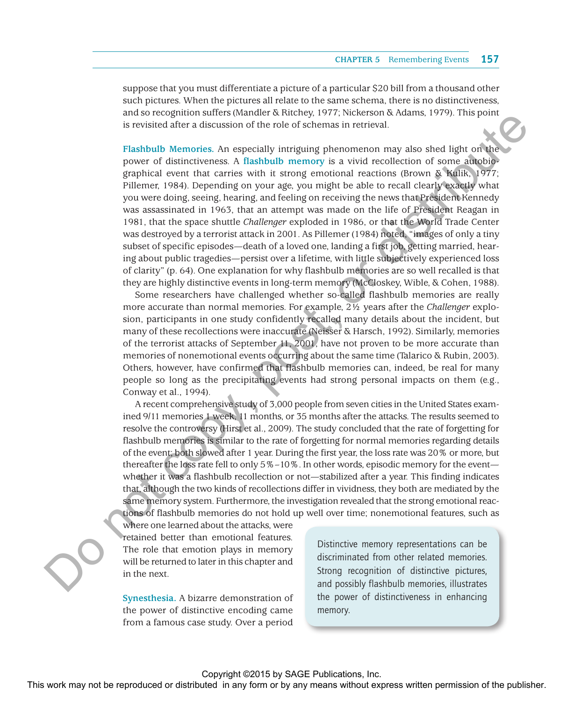suppose that you must differentiate a picture of a particular \$20 bill from a thousand other such pictures. When the pictures all relate to the same schema, there is no distinctiveness, and so recognition suffers (Mandler & Ritchey, 1977; Nickerson & Adams, 1979). This point is revisited after a discussion of the role of schemas in retrieval.

**Flashbulb Memories.** An especially intriguing phenomenon may also shed light on the power of distinctiveness. A **flashbulb memory** is a vivid recollection of some autobiographical event that carries with it strong emotional reactions (Brown & Kulik, 1977; Pillemer, 1984). Depending on your age, you might be able to recall clearly exactly what you were doing, seeing, hearing, and feeling on receiving the news that President Kennedy was assassinated in 1963, that an attempt was made on the life of President Reagan in 1981, that the space shuttle *Challenger* exploded in 1986, or that the World Trade Center was destroyed by a terrorist attack in 2001. As Pillemer (1984) noted, "images of only a tiny subset of specific episodes—death of a loved one, landing a first job, getting married, hearing about public tragedies—persist over a lifetime, with little subjectively experienced loss of clarity" (p. 64). One explanation for why flashbulb memories are so well recalled is that they are highly distinctive events in long-term memory (McCloskey, Wible, & Cohen, 1988). The record of the reproduced or the reproduced or distributed in any file of the reproduced in any form or the reproduced in any form or by any means with the publisher. The reproduction of the publisher permission of the

Some researchers have challenged whether so-called flashbulb memories are really more accurate than normal memories. For example, 2½ years after the *Challenger* explosion, participants in one study confidently recalled many details about the incident, but many of these recollections were inaccurate (Neisser & Harsch, 1992). Similarly, memories of the terrorist attacks of September 11, 2001, have not proven to be more accurate than memories of nonemotional events occurring about the same time (Talarico & Rubin, 2003). Others, however, have confirmed that flashbulb memories can, indeed, be real for many people so long as the precipitating events had strong personal impacts on them (e.g., Conway et al., 1994).

A recent comprehensive study of 3,000 people from seven cities in the United States examined 9/11 memories 1 week, 11 months, or 35 months after the attacks. The results seemed to resolve the controversy (Hirst et al., 2009). The study concluded that the rate of forgetting for flashbulb memories is similar to the rate of forgetting for normal memories regarding details of the event; both slowed after 1 year. During the first year, the loss rate was 20% or more, but thereafter the loss rate fell to only 5%–10%. In other words, episodic memory for the event whether it was a flashbulb recollection or not—stabilized after a year. This finding indicates that, although the two kinds of recollections differ in vividness, they both are mediated by the same memory system. Furthermore, the investigation revealed that the strong emotional reactions of flashbulb memories do not hold up well over time; nonemotional features, such as

where one learned about the attacks, were retained better than emotional features. The role that emotion plays in memory will be returned to later in this chapter and in the next.

**Synesthesia.** A bizarre demonstration of the power of distinctive encoding came from a famous case study. Over a period Distinctive memory representations can be discriminated from other related memories. Strong recognition of distinctive pictures, and possibly flashbulb memories, illustrates the power of distinctiveness in enhancing memory.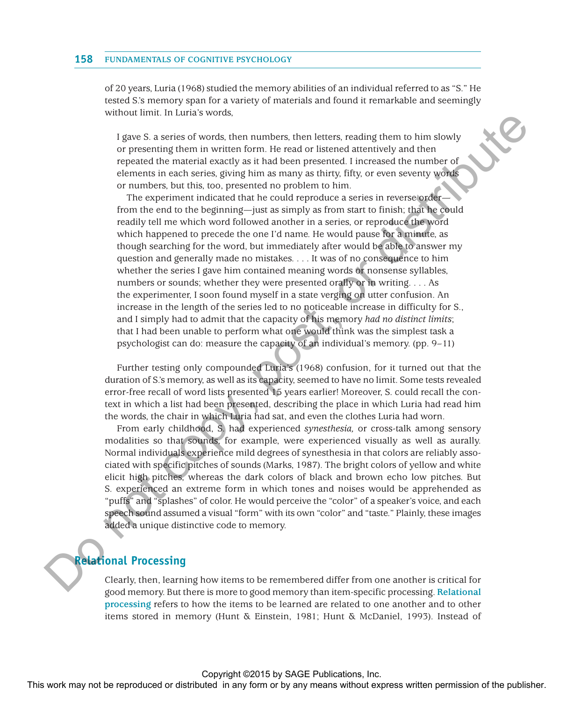of 20 years, Luria (1968) studied the memory abilities of an individual referred to as "S." He tested S.'s memory span for a variety of materials and found it remarkable and seemingly without limit. In Luria's words,

I gave S. a series of words, then numbers, then letters, reading them to him slowly or presenting them in written form. He read or listened attentively and then repeated the material exactly as it had been presented. I increased the number of elements in each series, giving him as many as thirty, fifty, or even seventy words or numbers, but this, too, presented no problem to him.

The experiment indicated that he could reproduce a series in reverse orderfrom the end to the beginning—just as simply as from start to finish; that he could readily tell me which word followed another in a series, or reproduce the word which happened to precede the one I'd name. He would pause for a minute, as though searching for the word, but immediately after would be able to answer my question and generally made no mistakes. . . . It was of no consequence to him whether the series I gave him contained meaning words or nonsense syllables, numbers or sounds; whether they were presented orally or in writing. . . . As the experimenter, I soon found myself in a state verging on utter confusion. An increase in the length of the series led to no noticeable increase in difficulty for S., and I simply had to admit that the capacity of his memory *had no distinct limits*; that I had been unable to perform what one would think was the simplest task a psychologist can do: measure the capacity of an individual's memory. (pp. 9–11) We consider the representation of the representation of the representation of the representation of the representation of the representation of the representation of the representation of the publisher. This is well as th

Further testing only compounded Luria's (1968) confusion, for it turned out that the duration of S.'s memory, as well as its capacity, seemed to have no limit. Some tests revealed error-free recall of word lists presented 15 years earlier! Moreover, S. could recall the context in which a list had been presented, describing the place in which Luria had read him the words, the chair in which Luria had sat, and even the clothes Luria had worn.

From early childhood, S. had experienced *synesthesia,* or cross-talk among sensory modalities so that sounds, for example, were experienced visually as well as aurally. Normal individuals experience mild degrees of synesthesia in that colors are reliably associated with specific pitches of sounds (Marks, 1987). The bright colors of yellow and white elicit high pitches, whereas the dark colors of black and brown echo low pitches. But S. experienced an extreme form in which tones and noises would be apprehended as "puffs" and "splashes" of color. He would perceive the "color" of a speaker's voice, and each speech sound assumed a visual "form" with its own "color" and "taste." Plainly, these images added a unique distinctive code to memory.

# **Relational Processing**

Clearly, then, learning how items to be remembered differ from one another is critical for good memory. But there is more to good memory than item-specific processing. **Relational processing** refers to how the items to be learned are related to one another and to other items stored in memory (Hunt & Einstein, 1981; Hunt & McDaniel, 1993). Instead of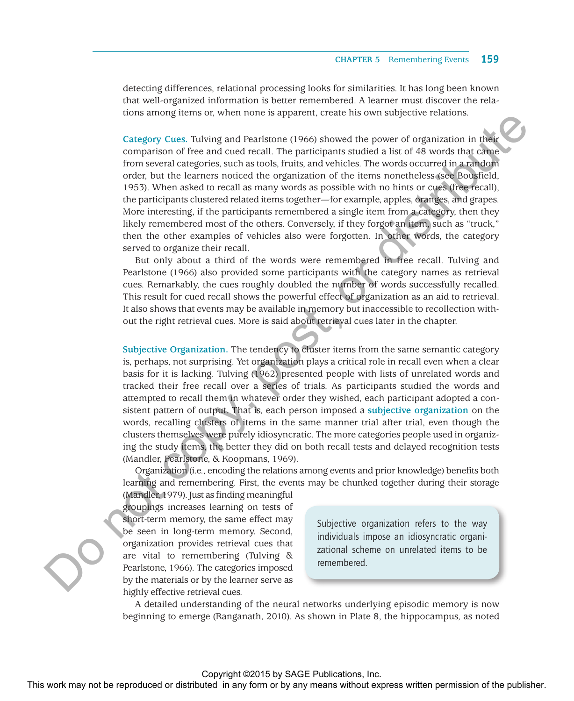detecting differences, relational processing looks for similarities. It has long been known that well-organized information is better remembered. A learner must discover the relations among items or, when none is apparent, create his own subjective relations.

**Category Cues.** Tulving and Pearlstone (1966) showed the power of organization in their comparison of free and cued recall. The participants studied a list of 48 words that came from several categories, such as tools, fruits, and vehicles. The words occurred in a random order, but the learners noticed the organization of the items nonetheless (see Bousfield, 1953). When asked to recall as many words as possible with no hints or cues (free recall), the participants clustered related items together—for example, apples, oranges, and grapes. More interesting, if the participants remembered a single item from a category, then they likely remembered most of the others. Conversely, if they forgot an item, such as "truck," then the other examples of vehicles also were forgotten. In other words, the category served to organize their recall. This cause of the anti-but may not be reproduced or the reproduced or distributed in any form or but the publisher. The publisher and the publisher or distributed in any form of the publisher. The publisher or distributed

But only about a third of the words were remembered in free recall. Tulving and Pearlstone (1966) also provided some participants with the category names as retrieval cues. Remarkably, the cues roughly doubled the number of words successfully recalled. This result for cued recall shows the powerful effect of organization as an aid to retrieval. It also shows that events may be available in memory but inaccessible to recollection without the right retrieval cues. More is said about retrieval cues later in the chapter.

**Subjective Organization.** The tendency to cluster items from the same semantic category is, perhaps, not surprising. Yet organization plays a critical role in recall even when a clear basis for it is lacking. Tulving (1962) presented people with lists of unrelated words and tracked their free recall over a series of trials. As participants studied the words and attempted to recall them in whatever order they wished, each participant adopted a consistent pattern of output. That is, each person imposed a **subjective organization** on the words, recalling clusters of items in the same manner trial after trial, even though the clusters themselves were purely idiosyncratic. The more categories people used in organizing the study items, the better they did on both recall tests and delayed recognition tests (Mandler, Pearlstone, & Koopmans, 1969).

Organization (i.e., encoding the relations among events and prior knowledge) benefits both learning and remembering. First, the events may be chunked together during their storage

(Mandler, 1979). Just as finding meaningful groupings increases learning on tests of short-term memory, the same effect may be seen in long-term memory. Second, organization provides retrieval cues that are vital to remembering (Tulving & Pearlstone, 1966). The categories imposed by the materials or by the learner serve as highly effective retrieval cues.

Subjective organization refers to the way individuals impose an idiosyncratic organizational scheme on unrelated items to be remembered.

A detailed understanding of the neural networks underlying episodic memory is now beginning to emerge (Ranganath, 2010). As shown in Plate 8, the hippocampus, as noted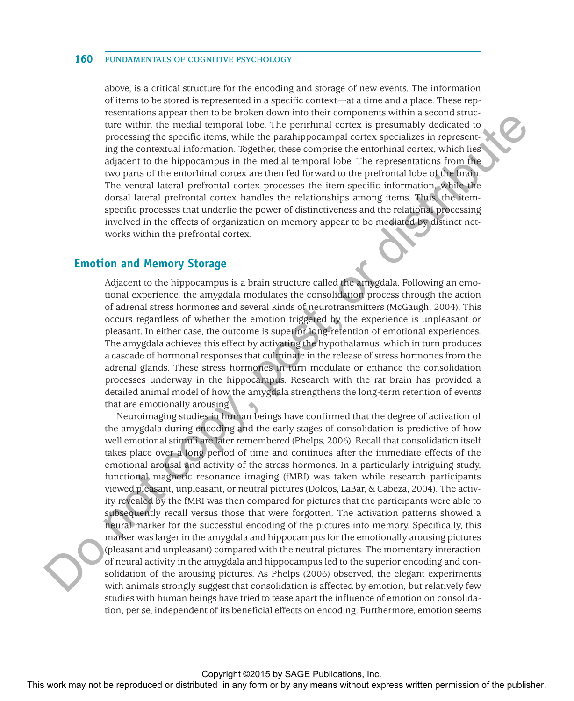above, is a critical structure for the encoding and storage of new events. The information of items to be stored is represented in a specific context—at a time and a place. These representations appear then to be broken down into their components within a second structure within the medial temporal lobe. The perirhinal cortex is presumably dedicated to processing the specific items, while the parahippocampal cortex specializes in representing the contextual information. Together, these comprise the entorhinal cortex, which lies adjacent to the hippocampus in the medial temporal lobe. The representations from the two parts of the entorhinal cortex are then fed forward to the prefrontal lobe of the brain. The ventral lateral prefrontal cortex processes the item-specific information, while the dorsal lateral prefrontal cortex handles the relationships among items. Thus, the itemspecific processes that underlie the power of distinctiveness and the relational processing involved in the effects of organization on memory appear to be mediated by distinct networks within the prefrontal cortex.

### **Emotion and Memory Storage**

Adjacent to the hippocampus is a brain structure called the amygdala. Following an emotional experience, the amygdala modulates the consolidation process through the action of adrenal stress hormones and several kinds of neurotransmitters (McGaugh, 2004). This occurs regardless of whether the emotion triggered by the experience is unpleasant or pleasant. In either case, the outcome is superior long-retention of emotional experiences. The amygdala achieves this effect by activating the hypothalamus, which in turn produces a cascade of hormonal responses that culminate in the release of stress hormones from the adrenal glands. These stress hormones in turn modulate or enhance the consolidation processes underway in the hippocampus. Research with the rat brain has provided a detailed animal model of how the amygdala strengthens the long-term retention of events that are emotionally arousing.

Neuroimaging studies in human beings have confirmed that the degree of activation of the amygdala during encoding and the early stages of consolidation is predictive of how well emotional stimuli are later remembered (Phelps, 2006). Recall that consolidation itself takes place over a long period of time and continues after the immediate effects of the emotional arousal and activity of the stress hormones. In a particularly intriguing study, functional magnetic resonance imaging (fMRI) was taken while research participants viewed pleasant, unpleasant, or neutral pictures (Dolcos, LaBar, & Cabeza, 2004). The activity revealed by the fMRI was then compared for pictures that the participants were able to subsequently recall versus those that were forgotten. The activation patterns showed a neural marker for the successful encoding of the pictures into memory. Specifically, this marker was larger in the amygdala and hippocampus for the emotionally arousing pictures (pleasant and unpleasant) compared with the neutral pictures. The momentary interaction of neural activity in the amygdala and hippocampus led to the superior encoding and consolidation of the arousing pictures. As Phelps (2006) observed, the elegant experiments with animals strongly suggest that consolidation is affected by emotion, but relatively few studies with human beings have tried to tease apart the influence of emotion on consolidation, per se, independent of its beneficial effects on encoding. Furthermore, emotion seems The control of the reproduced or the reproduced or distributed in any form or by any means which the reproduced or distributed in any form or by any means which the publisher. We can be reproduced in a mean of the expressi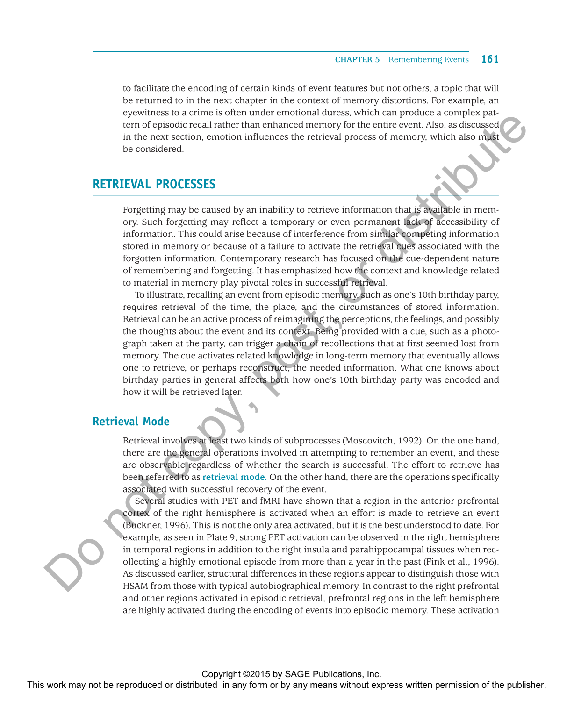to facilitate the encoding of certain kinds of event features but not others, a topic that will be returned to in the next chapter in the context of memory distortions. For example, an eyewitness to a crime is often under emotional duress, which can produce a complex pattern of episodic recall rather than enhanced memory for the entire event. Also, as discussed in the next section, emotion influences the retrieval process of memory, which also must be considered.

# **RETRIEVAL PROCESSES**

Forgetting may be caused by an inability to retrieve information that is available in memory. Such forgetting may reflect a temporary or even permanent lack of accessibility of information. This could arise because of interference from similar competing information stored in memory or because of a failure to activate the retrieval cues associated with the forgotten information. Contemporary research has focused on the cue-dependent nature of remembering and forgetting. It has emphasized how the context and knowledge related to material in memory play pivotal roles in successful retrieval.

To illustrate, recalling an event from episodic memory, such as one's 10th birthday party, requires retrieval of the time, the place, and the circumstances of stored information. Retrieval can be an active process of reimagining the perceptions, the feelings, and possibly the thoughts about the event and its context. Being provided with a cue, such as a photograph taken at the party, can trigger a chain of recollections that at first seemed lost from memory. The cue activates related knowledge in long-term memory that eventually allows one to retrieve, or perhaps reconstruct, the needed information. What one knows about birthday parties in general affects both how one's 10th birthday party was encoded and how it will be retrieved later.

# **Retrieval Mode**

Retrieval involves at least two kinds of subprocesses (Moscovitch, 1992). On the one hand, there are the general operations involved in attempting to remember an event, and these are observable regardless of whether the search is successful. The effort to retrieve has been referred to as **retrieval mode.** On the other hand, there are the operations specifically associated with successful recovery of the event.

Several studies with PET and fMRI have shown that a region in the anterior prefrontal cortex of the right hemisphere is activated when an effort is made to retrieve an event (Buckner, 1996). This is not the only area activated, but it is the best understood to date. For example, as seen in Plate 9, strong PET activation can be observed in the right hemisphere in temporal regions in addition to the right insula and parahippocampal tissues when recollecting a highly emotional episode from more than a year in the past (Fink et al., 1996). As discussed earlier, structural differences in these regions appear to distinguish those with HSAM from those with typical autobiographical memory. In contrast to the right prefrontal and other regions activated in episodic retrieval, prefrontal regions in the left hemisphere are highly activated during the encoding of events into episodic memory. These activation The control or the reproduced or the reproduced or distributed in any means which are a state of the publisher.<br>This work may not be reproduced in a state of the publisher or distributed in any means when the publisher or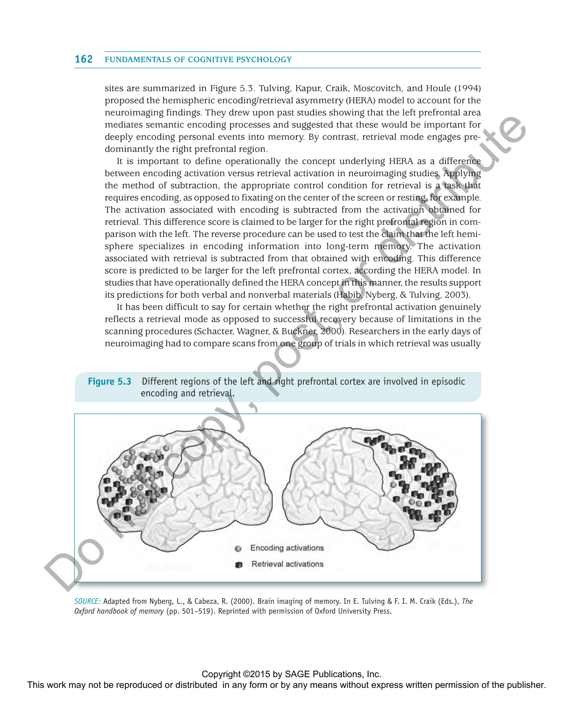sites are summarized in Figure 5.3. Tulving, Kapur, Craik, Moscovitch, and Houle (1994) proposed the hemispheric encoding/retrieval asymmetry (HERA) model to account for the neuroimaging findings. They drew upon past studies showing that the left prefrontal area mediates semantic encoding processes and suggested that these would be important for deeply encoding personal events into memory. By contrast, retrieval mode engages predominantly the right prefrontal region.

It is important to define operationally the concept underlying HERA as a difference between encoding activation versus retrieval activation in neuroimaging studies. Applying the method of subtraction, the appropriate control condition for retrieval is a task that requires encoding, as opposed to fixating on the center of the screen or resting, for example. The activation associated with encoding is subtracted from the activation obtained for retrieval. This difference score is claimed to be larger for the right prefrontal region in comparison with the left. The reverse procedure can be used to test the claim that the left hemisphere specializes in encoding information into long-term memory. The activation associated with retrieval is subtracted from that obtained with encoding. This difference score is predicted to be larger for the left prefrontal cortex, according the HERA model. In studies that have operationally defined the HERA concept in this manner, the results support its predictions for both verbal and nonverbal materials (Habib, Nyberg, & Tulving, 2003).

It has been difficult to say for certain whether the right prefrontal activation genuinely reflects a retrieval mode as opposed to successful recovery because of limitations in the scanning procedures (Schacter, Wagner, & Buckner, 2000). Researchers in the early days of neuroimaging had to compare scans from one group of trials in which retrieval was usually





*SOURCE:* Adapted from Nyberg, L., & Cabeza, R. (2000). Brain imaging of memory. In E. Tulving & F. I. M. Craik (Eds.), *The Oxford handbook of memory* (pp. 501–519). Reprinted with permission of Oxford University Press.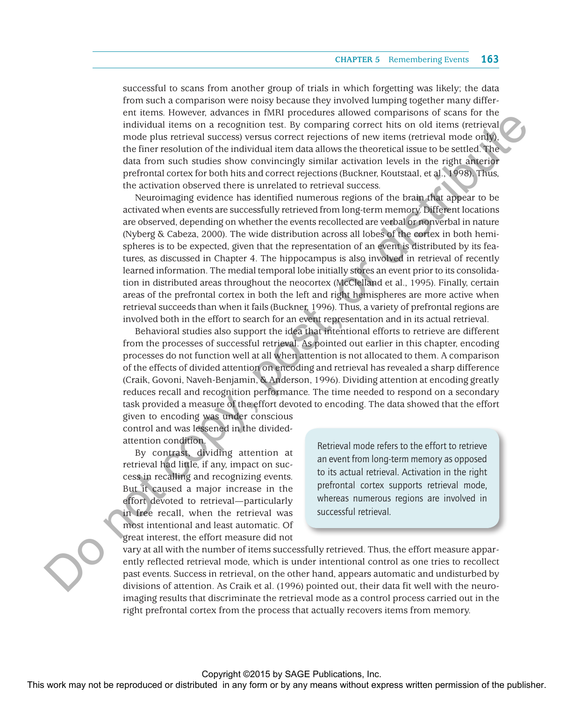successful to scans from another group of trials in which forgetting was likely; the data from such a comparison were noisy because they involved lumping together many different items. However, advances in fMRI procedures allowed comparisons of scans for the individual items on a recognition test. By comparing correct hits on old items (retrieval mode plus retrieval success) versus correct rejections of new items (retrieval mode only), the finer resolution of the individual item data allows the theoretical issue to be settled. The data from such studies show convincingly similar activation levels in the right anterior prefrontal cortex for both hits and correct rejections (Buckner, Koutstaal, et al., 1998). Thus, the activation observed there is unrelated to retrieval success.

Neuroimaging evidence has identified numerous regions of the brain that appear to be activated when events are successfully retrieved from long-term memory. Different locations are observed, depending on whether the events recollected are verbal or nonverbal in nature (Nyberg & Cabeza, 2000). The wide distribution across all lobes of the cortex in both hemispheres is to be expected, given that the representation of an event is distributed by its features, as discussed in Chapter 4. The hippocampus is also involved in retrieval of recently learned information. The medial temporal lobe initially stores an event prior to its consolidation in distributed areas throughout the neocortex (McClelland et al., 1995). Finally, certain areas of the prefrontal cortex in both the left and right hemispheres are more active when retrieval succeeds than when it fails (Buckner, 1996). Thus, a variety of prefrontal regions are involved both in the effort to search for an event representation and in its actual retrieval. The mean or the reproduced or the representation of the reproduced or the reproduced or the reproduced or the reproduced or the publisher or the publisher of the methodological permission of the publisher. This work means

Behavioral studies also support the idea that intentional efforts to retrieve are different from the processes of successful retrieval. As pointed out earlier in this chapter, encoding processes do not function well at all when attention is not allocated to them. A comparison of the effects of divided attention on encoding and retrieval has revealed a sharp difference (Craik, Govoni, Naveh-Benjamin, & Anderson, 1996). Dividing attention at encoding greatly reduces recall and recognition performance. The time needed to respond on a secondary task provided a measure of the effort devoted to encoding. The data showed that the effort

given to encoding was under conscious control and was lessened in the dividedattention condition.

By contrast, dividing attention at retrieval had little, if any, impact on success in recalling and recognizing events. But it caused a major increase in the effort devoted to retrieval—particularly in free recall, when the retrieval was most intentional and least automatic. Of great interest, the effort measure did not Retrieval mode refers to the effort to retrieve an event from long-term memory as opposed to its actual retrieval. Activation in the right prefrontal cortex supports retrieval mode, whereas numerous regions are involved in successful retrieval.

vary at all with the number of items successfully retrieved. Thus, the effort measure apparently reflected retrieval mode, which is under intentional control as one tries to recollect past events. Success in retrieval, on the other hand, appears automatic and undisturbed by divisions of attention. As Craik et al. (1996) pointed out, their data fit well with the neuroimaging results that discriminate the retrieval mode as a control process carried out in the right prefrontal cortex from the process that actually recovers items from memory.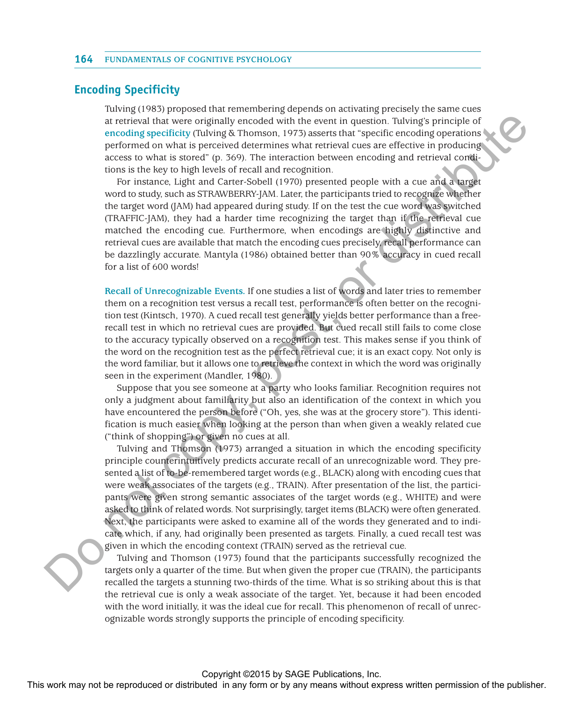# **Encoding Specificity**

Tulving (1983) proposed that remembering depends on activating precisely the same cues at retrieval that were originally encoded with the event in question. Tulving's principle of **encoding specificity** (Tulving & Thomson, 1973) asserts that "specific encoding operations performed on what is perceived determines what retrieval cues are effective in producing access to what is stored" (p. 369). The interaction between encoding and retrieval conditions is the key to high levels of recall and recognition.

For instance, Light and Carter-Sobell (1970) presented people with a cue and a target word to study, such as STRAWBERRY-JAM. Later, the participants tried to recognize whether the target word (JAM) had appeared during study. If on the test the cue word was switched (TRAFFIC-JAM), they had a harder time recognizing the target than if the retrieval cue matched the encoding cue. Furthermore, when encodings are highly distinctive and retrieval cues are available that match the encoding cues precisely, recall performance can be dazzlingly accurate. Mantyla (1986) obtained better than 90% accuracy in cued recall for a list of 600 words!

**Recall of Unrecognizable Events.** If one studies a list of words and later tries to remember them on a recognition test versus a recall test, performance is often better on the recognition test (Kintsch, 1970). A cued recall test generally yields better performance than a freerecall test in which no retrieval cues are provided. But cued recall still fails to come close to the accuracy typically observed on a recognition test. This makes sense if you think of the word on the recognition test as the perfect retrieval cue; it is an exact copy. Not only is the word familiar, but it allows one to retrieve the context in which the word was originally seen in the experiment (Mandler, 1980).

Suppose that you see someone at a party who looks familiar. Recognition requires not only a judgment about familiarity but also an identification of the context in which you have encountered the person before ("Oh, yes, she was at the grocery store"). This identification is much easier when looking at the person than when given a weakly related cue ("think of shopping") or given no cues at all.

Tulving and Thomson (1973) arranged a situation in which the encoding specificity principle counterintuitively predicts accurate recall of an unrecognizable word. They presented a list of to-be-remembered target words (e.g., BLACK) along with encoding cues that were weak associates of the targets (e.g., TRAIN). After presentation of the list, the participants were given strong semantic associates of the target words (e.g., WHITE) and were asked to think of related words. Not surprisingly, target items (BLACK) were often generated. Next, the participants were asked to examine all of the words they generated and to indicate which, if any, had originally been presented as targets. Finally, a cued recall test was given in which the encoding context (TRAIN) served as the retrieval cue. The may not be repressed or distributed or distributed in a mean in question. The results were reproduced or distributed in any form or by any means with a particular or the publisher. The content of the publisher of the

Tulving and Thomson (1973) found that the participants successfully recognized the targets only a quarter of the time. But when given the proper cue (TRAIN), the participants recalled the targets a stunning two-thirds of the time. What is so striking about this is that the retrieval cue is only a weak associate of the target. Yet, because it had been encoded with the word initially, it was the ideal cue for recall. This phenomenon of recall of unrecognizable words strongly supports the principle of encoding specificity.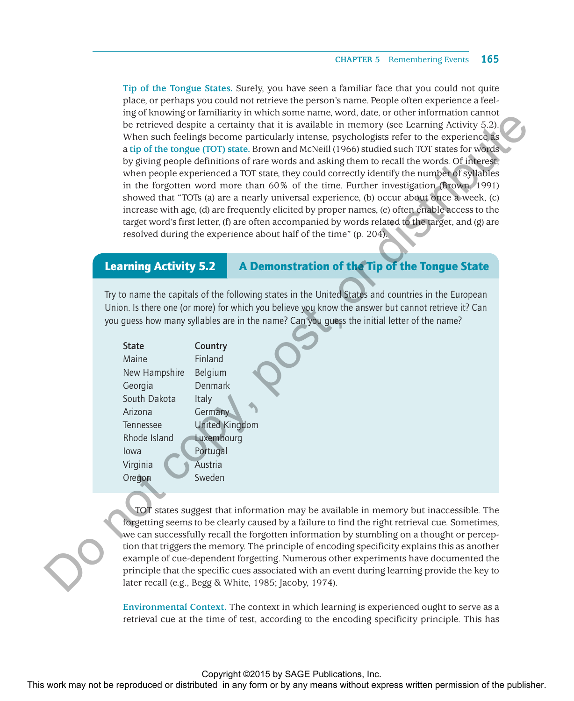**Tip of the Tongue States.** Surely, you have seen a familiar face that you could not quite place, or perhaps you could not retrieve the person's name. People often experience a feeling of knowing or familiarity in which some name, word, date, or other information cannot be retrieved despite a certainty that it is available in memory (see Learning Activity 5.2). When such feelings become particularly intense, psychologists refer to the experience as a **tip of the tongue (TOT) state.** Brown and McNeill (1966) studied such TOT states for words by giving people definitions of rare words and asking them to recall the words. Of interest, when people experienced a TOT state, they could correctly identify the number of syllables in the forgotten word more than 60% of the time. Further investigation (Brown, 1991) showed that "TOTs (a) are a nearly universal experience, (b) occur about once a week, (c) increase with age, (d) are frequently elicited by proper names, (e) often enable access to the target word's first letter, (f) are often accompanied by words related to the target, and (g) are resolved during the experience about half of the time" (p. 204). For the computer may not be reproduced or distributed in any means when the reproduced in any means when the reproduced in any means without express without express the publisher. The publisher of the publisher or distrib

# Learning Activity 5.2 A Demonstration of the Tip of the Tongue State

Try to name the capitals of the following states in the United States and countries in the European Union. Is there one (or more) for which you believe you know the answer but cannot retrieve it? Can you guess how many syllables are in the name? Can you guess the initial letter of the name?

| <b>State</b>  | Country               |
|---------------|-----------------------|
| Maine         | Finland               |
| New Hampshire | Belgium               |
| Georgia       | Denmark               |
| South Dakota  | Italy                 |
| Arizona       | Germany               |
| Tennessee     | <b>United Kingdom</b> |
| Rhode Island  | Luxembourg            |
| lowa          | Portugal              |
| Virginia      | Austria               |
| Oregon        | Sweden                |

TOT states suggest that information may be available in memory but inaccessible. The forgetting seems to be clearly caused by a failure to find the right retrieval cue. Sometimes, we can successfully recall the forgotten information by stumbling on a thought or perception that triggers the memory. The principle of encoding specificity explains this as another example of cue-dependent forgetting. Numerous other experiments have documented the principle that the specific cues associated with an event during learning provide the key to later recall (e.g., Begg & White, 1985; Jacoby, 1974).

**Environmental Context.** The context in which learning is experienced ought to serve as a retrieval cue at the time of test, according to the encoding specificity principle. This has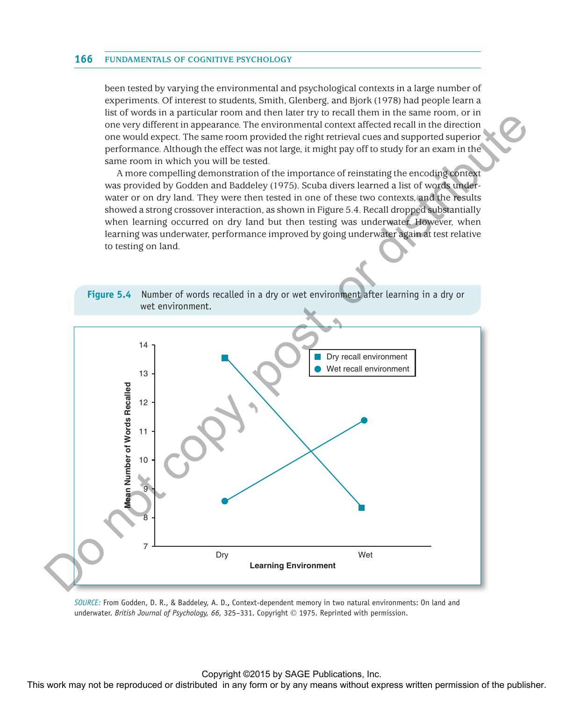been tested by varying the environmental and psychological contexts in a large number of experiments. Of interest to students, Smith, Glenberg, and Bjork (1978) had people learn a list of words in a particular room and then later try to recall them in the same room, or in one very different in appearance. The environmental context affected recall in the direction one would expect. The same room provided the right retrieval cues and supported superior performance. Although the effect was not large, it might pay off to study for an exam in the same room in which you will be tested.

A more compelling demonstration of the importance of reinstating the encoding context was provided by Godden and Baddeley (1975). Scuba divers learned a list of words underwater or on dry land. They were then tested in one of these two contexts, and the results showed a strong crossover interaction, as shown in Figure 5.4. Recall dropped substantially when learning occurred on dry land but then testing was underwater. However, when learning was underwater, performance improved by going underwater again at test relative to testing on land.





*SOURCE:* From Godden, D. R., & Baddeley, A. D.**,** Context-dependent memory in two natural environments: On land and underwater. *British Journal of Psychology, 66,* 325-331. Copyright © 1975. Reprinted with permission.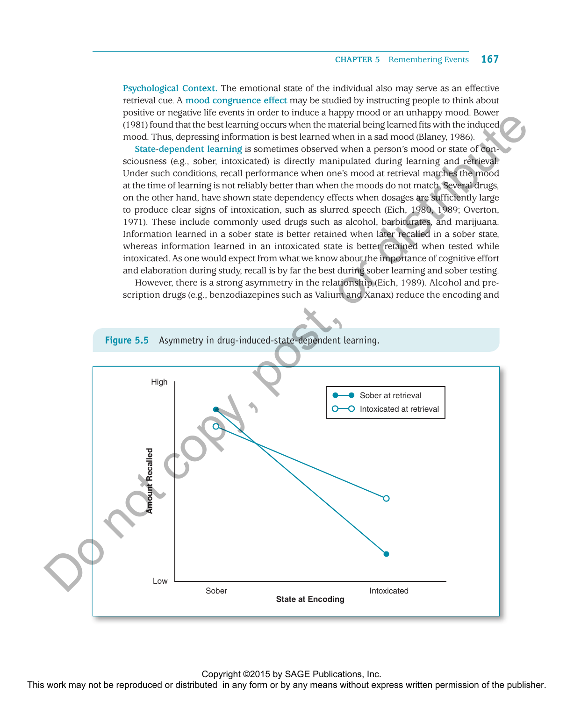**Psychological Context.** The emotional state of the individual also may serve as an effective retrieval cue. A **mood congruence effect** may be studied by instructing people to think about positive or negative life events in order to induce a happy mood or an unhappy mood. Bower (1981) found that the best learning occurs when the material being learned fits with the induced mood. Thus, depressing information is best learned when in a sad mood (Blaney, 1986).

**State**-**dependent learning** is sometimes observed when a person's mood or state of consciousness (e.g., sober, intoxicated) is directly manipulated during learning and retrieval. Under such conditions, recall performance when one's mood at retrieval matches the mood at the time of learning is not reliably better than when the moods do not match. Several drugs, on the other hand, have shown state dependency effects when dosages are sufficiently large to produce clear signs of intoxication, such as slurred speech (Eich, 1980, 1989; Overton, 1971). These include commonly used drugs such as alcohol, barbiturates, and marijuana. Information learned in a sober state is better retained when later recalled in a sober state, whereas information learned in an intoxicated state is better retained when tested while intoxicated. As one would expect from what we know about the importance of cognitive effort and elaboration during study, recall is by far the best during sober learning and sober testing.

However, there is a strong asymmetry in the relationship (Eich, 1989). Alcohol and prescription drugs (e.g., benzodiazepines such as Valium and Xanax) reduce the encoding and

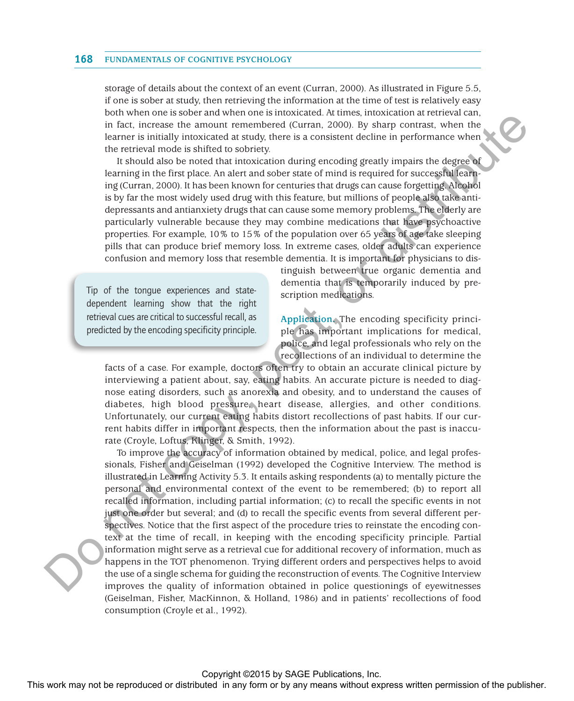storage of details about the context of an event (Curran, 2000). As illustrated in Figure 5.5, if one is sober at study, then retrieving the information at the time of test is relatively easy both when one is sober and when one is intoxicated. At times, intoxication at retrieval can, in fact, increase the amount remembered (Curran, 2000). By sharp contrast, when the learner is initially intoxicated at study, there is a consistent decline in performance when the retrieval mode is shifted to sobriety.

It should also be noted that intoxication during encoding greatly impairs the degree of learning in the first place. An alert and sober state of mind is required for successful learning (Curran, 2000). It has been known for centuries that drugs can cause forgetting. Alcohol is by far the most widely used drug with this feature, but millions of people also take antidepressants and antianxiety drugs that can cause some memory problems. The elderly are particularly vulnerable because they may combine medications that have psychoactive properties. For example, 10% to 15% of the population over 65 years of age take sleeping pills that can produce brief memory loss. In extreme cases, older adults can experience confusion and memory loss that resemble dementia. It is important for physicians to dis-

Tip of the tongue experiences and statedependent learning show that the right retrieval cues are critical to successful recall, as predicted by the encoding specificity principle. tinguish between true organic dementia and dementia that is temporarily induced by prescription medications.

**Application.** The encoding specificity principle has important implications for medical, police, and legal professionals who rely on the recollections of an individual to determine the

facts of a case. For example, doctors often try to obtain an accurate clinical picture by interviewing a patient about, say, eating habits. An accurate picture is needed to diagnose eating disorders, such as anorexia and obesity, and to understand the causes of diabetes, high blood pressure, heart disease, allergies, and other conditions. Unfortunately, our current eating habits distort recollections of past habits. If our current habits differ in important respects, then the information about the past is inaccurate (Croyle, Loftus, Klinger, & Smith, 1992).

To improve the accuracy of information obtained by medical, police, and legal professionals, Fisher and Geiselman (1992) developed the Cognitive Interview. The method is illustrated in Learning Activity 5.3. It entails asking respondents (a) to mentally picture the personal and environmental context of the event to be remembered; (b) to report all recalled information, including partial information; (c) to recall the specific events in not just one order but several; and (d) to recall the specific events from several different perspectives. Notice that the first aspect of the procedure tries to reinstate the encoding context at the time of recall, in keeping with the encoding specificity principle. Partial information might serve as a retrieval cue for additional recovery of information, much as happens in the TOT phenomenon. Trying different orders and perspectives helps to avoid the use of a single schema for guiding the reconstruction of events. The Cognitive Interview improves the quality of information obtained in police questionings of eyewitnesses (Geiselman, Fisher, MacKinnon, & Holland, 1986) and in patients' recollections of food consumption (Croyle et al., 1992). The rest of a case. The technology end of the publishering in any fitting the publishering in any form or by any means when  $\sim$  by any means when  $\sim$  the rest or by any means we have the publisher. This means when  $\sim$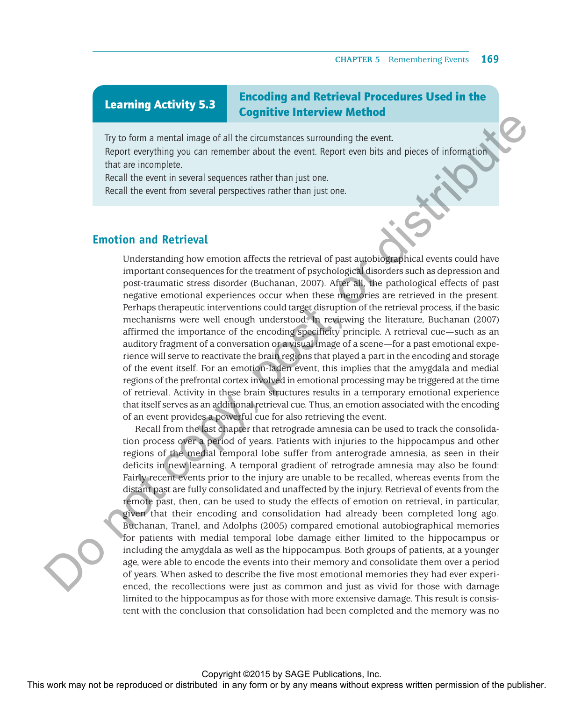# Learning Activity 5.3 Encoding and Retrieval Procedures Used in the Cognitive Interview Method

Try to form a mental image of all the circumstances surrounding the event. Report everything you can remember about the event. Report even bits and pieces of information that are incomplete.

Recall the event in several sequences rather than just one. Recall the event from several perspectives rather than just one.

# **Emotion and Retrieval**

Understanding how emotion affects the retrieval of past autobiographical events could have important consequences for the treatment of psychological disorders such as depression and post-traumatic stress disorder (Buchanan, 2007). After all, the pathological effects of past negative emotional experiences occur when these memories are retrieved in the present. Perhaps therapeutic interventions could target disruption of the retrieval process, if the basic mechanisms were well enough understood. In reviewing the literature, Buchanan (2007) affirmed the importance of the encoding specificity principle. A retrieval cue—such as an auditory fragment of a conversation or a visual image of a scene—for a past emotional experience will serve to reactivate the brain regions that played a part in the encoding and storage of the event itself. For an emotion-laden event, this implies that the amygdala and medial regions of the prefrontal cortex involved in emotional processing may be triggered at the time of retrieval. Activity in these brain structures results in a temporary emotional experience that itself serves as an additional retrieval cue. Thus, an emotion associated with the encoding of an event provides a powerful cue for also retrieving the event.

Recall from the last chapter that retrograde amnesia can be used to track the consolidation process over a period of years. Patients with injuries to the hippocampus and other regions of the medial temporal lobe suffer from anterograde amnesia, as seen in their deficits in new learning. A temporal gradient of retrograde amnesia may also be found: Fairly recent events prior to the injury are unable to be recalled, whereas events from the distant past are fully consolidated and unaffected by the injury. Retrieval of events from the remote past, then, can be used to study the effects of emotion on retrieval, in particular, given that their encoding and consolidation had already been completed long ago. Buchanan, Tranel, and Adolphs (2005) compared emotional autobiographical memories for patients with medial temporal lobe damage either limited to the hippocampus or including the amygdala as well as the hippocampus. Both groups of patients, at a younger age, were able to encode the events into their memory and consolidate them over a period of years. When asked to describe the five most emotional memories they had ever experienced, the recollections were just as common and just as vivid for those with damage limited to the hippocampus as for those with more extensive damage. This result is consistent with the conclusion that consolidation had been completed and the memory was no The table may not be represented or the control or the results with the results of the results with the results with the results with the results with the results with the results with the results with the results with th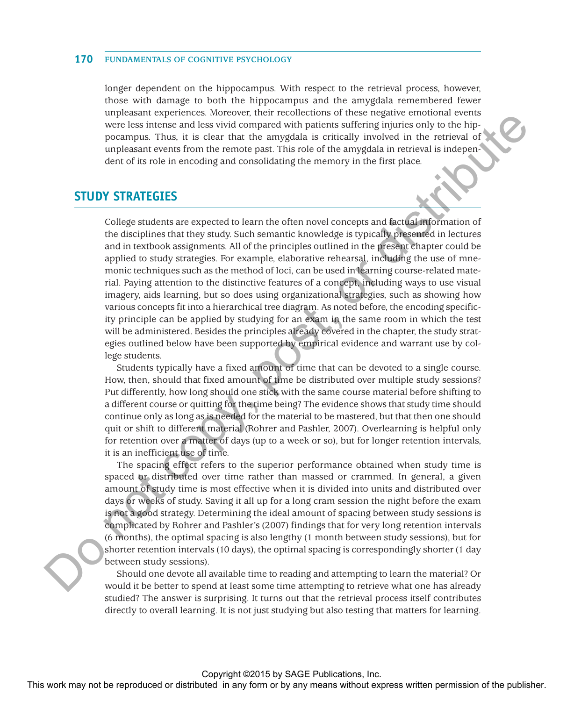longer dependent on the hippocampus. With respect to the retrieval process, however, those with damage to both the hippocampus and the amygdala remembered fewer unpleasant experiences. Moreover, their recollections of these negative emotional events were less intense and less vivid compared with patients suffering injuries only to the hippocampus. Thus, it is clear that the amygdala is critically involved in the retrieval of unpleasant events from the remote past. This role of the amygdala in retrieval is independent of its role in encoding and consolidating the memory in the first place.

# **STUDY STRATEGIES**

College students are expected to learn the often novel concepts and factual information of the disciplines that they study. Such semantic knowledge is typically presented in lectures and in textbook assignments. All of the principles outlined in the present chapter could be applied to study strategies. For example, elaborative rehearsal, including the use of mnemonic techniques such as the method of loci, can be used in learning course-related material. Paying attention to the distinctive features of a concept, including ways to use visual imagery, aids learning, but so does using organizational strategies, such as showing how various concepts fit into a hierarchical tree diagram. As noted before, the encoding specificity principle can be applied by studying for an exam in the same room in which the test will be administered. Besides the principles already covered in the chapter, the study strategies outlined below have been supported by empirical evidence and warrant use by college students. When the rest is the reproduced or the reproduced or the reproduced in any form or by any means when the reproduced in any form or by any means when the reproduced in any form or by any means were sensible in any form or

Students typically have a fixed amount of time that can be devoted to a single course. How, then, should that fixed amount of time be distributed over multiple study sessions? Put differently, how long should one stick with the same course material before shifting to a different course or quitting for the time being? The evidence shows that study time should continue only as long as is needed for the material to be mastered, but that then one should quit or shift to different material (Rohrer and Pashler, 2007). Overlearning is helpful only for retention over a matter of days (up to a week or so), but for longer retention intervals, it is an inefficient use of time.

The spacing effect refers to the superior performance obtained when study time is spaced or distributed over time rather than massed or crammed. In general, a given amount of study time is most effective when it is divided into units and distributed over days or weeks of study. Saving it all up for a long cram session the night before the exam is not a good strategy. Determining the ideal amount of spacing between study sessions is complicated by Rohrer and Pashler's (2007) findings that for very long retention intervals (6 months), the optimal spacing is also lengthy (1 month between study sessions), but for shorter retention intervals (10 days), the optimal spacing is correspondingly shorter (1 day between study sessions).

Should one devote all available time to reading and attempting to learn the material? Or would it be better to spend at least some time attempting to retrieve what one has already studied? The answer is surprising. It turns out that the retrieval process itself contributes directly to overall learning. It is not just studying but also testing that matters for learning.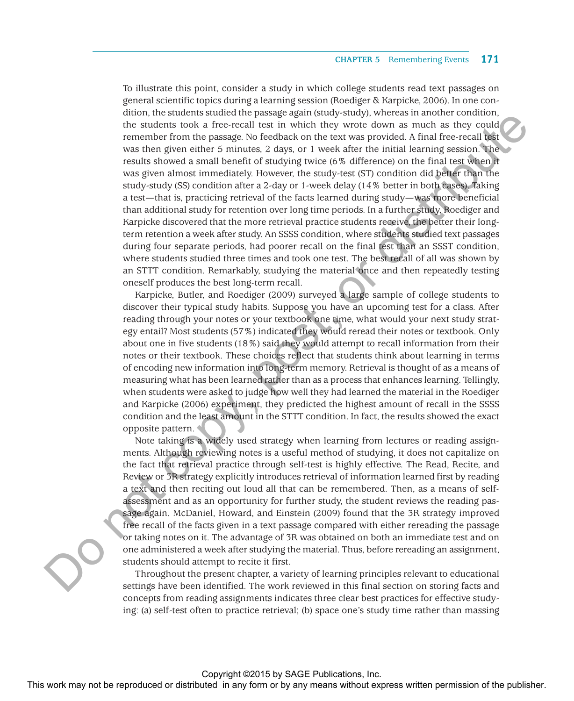To illustrate this point, consider a study in which college students read text passages on general scientific topics during a learning session (Roediger & Karpicke, 2006). In one condition, the students studied the passage again (study-study), whereas in another condition, the students took a free-recall test in which they wrote down as much as they could remember from the passage. No feedback on the text was provided. A final free-recall test was then given either 5 minutes, 2 days, or 1 week after the initial learning session. The results showed a small benefit of studying twice (6% difference) on the final test when it was given almost immediately. However, the study-test (ST) condition did better than the study-study (SS) condition after a 2-day or 1-week delay (14% better in both cases). Taking a test—that is, practicing retrieval of the facts learned during study—was more beneficial than additional study for retention over long time periods. In a further study, Roediger and Karpicke discovered that the more retrieval practice students receive, the better their longterm retention a week after study. An SSSS condition, where students studied text passages during four separate periods, had poorer recall on the final test than an SSST condition, where students studied three times and took one test. The best recall of all was shown by an STTT condition. Remarkably, studying the material once and then repeatedly testing oneself produces the best long-term recall. The most may not be reproduced to the reproduced or distributed in any means when the representation of the publisher. The most line of the results above a most line of the results above a most line of the results above a

Karpicke, Butler, and Roediger (2009) surveyed a large sample of college students to discover their typical study habits. Suppose you have an upcoming test for a class. After reading through your notes or your textbook one time, what would your next study strategy entail? Most students (57%) indicated they would reread their notes or textbook. Only about one in five students (18%) said they would attempt to recall information from their notes or their textbook. These choices reflect that students think about learning in terms of encoding new information into long-term memory. Retrieval is thought of as a means of measuring what has been learned rather than as a process that enhances learning. Tellingly, when students were asked to judge how well they had learned the material in the Roediger and Karpicke (2006) experiment, they predicted the highest amount of recall in the SSSS condition and the least amount in the STTT condition. In fact, the results showed the exact opposite pattern.

Note taking is a widely used strategy when learning from lectures or reading assignments. Although reviewing notes is a useful method of studying, it does not capitalize on the fact that retrieval practice through self-test is highly effective. The Read, Recite, and Review or 3R strategy explicitly introduces retrieval of information learned first by reading a text and then reciting out loud all that can be remembered. Then, as a means of selfassessment and as an opportunity for further study, the student reviews the reading passage again. McDaniel, Howard, and Einstein (2009) found that the 3R strategy improved free recall of the facts given in a text passage compared with either rereading the passage or taking notes on it. The advantage of 3R was obtained on both an immediate test and on one administered a week after studying the material. Thus, before rereading an assignment, students should attempt to recite it first.

Throughout the present chapter, a variety of learning principles relevant to educational settings have been identified. The work reviewed in this final section on storing facts and concepts from reading assignments indicates three clear best practices for effective studying: (a) self-test often to practice retrieval; (b) space one's study time rather than massing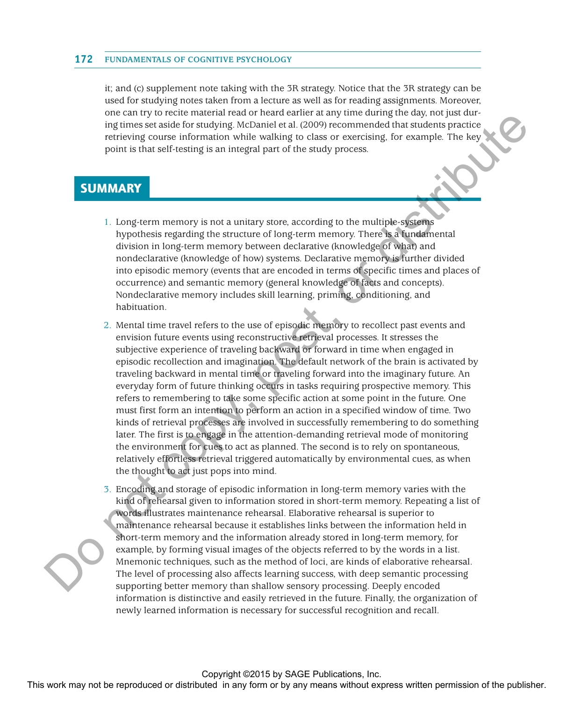it; and (c) supplement note taking with the 3R strategy. Notice that the 3R strategy can be used for studying notes taken from a lecture as well as for reading assignments. Moreover, one can try to recite material read or heard earlier at any time during the day, not just during times set aside for studying. McDaniel et al. (2009) recommended that students practice retrieving course information while walking to class or exercising, for example. The key point is that self-testing is an integral part of the study process.

# **SUMMARY**

- 1. Long-term memory is not a unitary store, according to the multiple-systems hypothesis regarding the structure of long-term memory. There is a fundamental division in long-term memory between declarative (knowledge of what) and nondeclarative (knowledge of how) systems. Declarative memory is further divided into episodic memory (events that are encoded in terms of specific times and places of occurrence) and semantic memory (general knowledge of facts and concepts). Nondeclarative memory includes skill learning, priming, conditioning, and habituation.
- 2. Mental time travel refers to the use of episodic memory to recollect past events and envision future events using reconstructive retrieval processes. It stresses the subjective experience of traveling backward or forward in time when engaged in episodic recollection and imagination. The default network of the brain is activated by traveling backward in mental time or traveling forward into the imaginary future. An everyday form of future thinking occurs in tasks requiring prospective memory. This refers to remembering to take some specific action at some point in the future. One must first form an intention to perform an action in a specified window of time. Two kinds of retrieval processes are involved in successfully remembering to do something later. The first is to engage in the attention-demanding retrieval mode of monitoring the environment for cues to act as planned. The second is to rely on spontaneous, relatively effortless retrieval triggered automatically by environmental cues, as when the thought to act just pops into mind. The representation of the behavior or distributed in any form or by any means with the publisher.<br>
This work may not be reproduced in any form or by any means with the publisher. This work may not be reproduced in any for
	- 3. Encoding and storage of episodic information in long-term memory varies with the kind of rehearsal given to information stored in short-term memory. Repeating a list of words illustrates maintenance rehearsal. Elaborative rehearsal is superior to maintenance rehearsal because it establishes links between the information held in short-term memory and the information already stored in long-term memory, for example, by forming visual images of the objects referred to by the words in a list. Mnemonic techniques, such as the method of loci, are kinds of elaborative rehearsal. The level of processing also affects learning success, with deep semantic processing supporting better memory than shallow sensory processing. Deeply encoded information is distinctive and easily retrieved in the future. Finally, the organization of newly learned information is necessary for successful recognition and recall.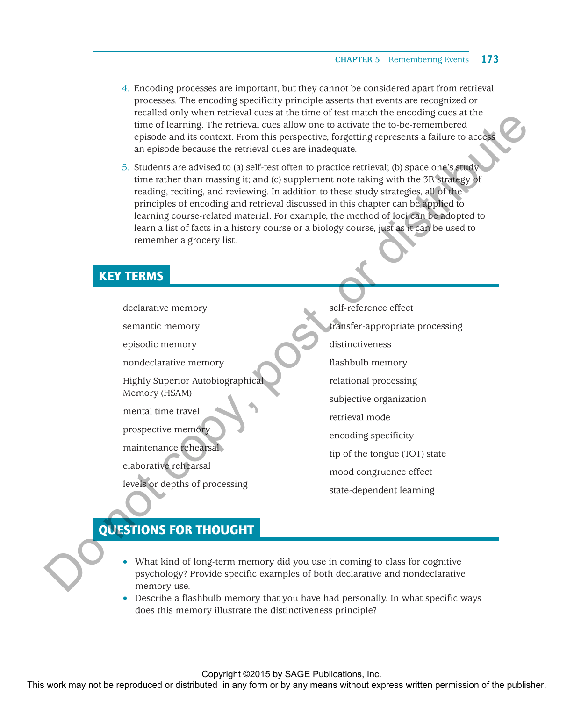- 4. Encoding processes are important, but they cannot be considered apart from retrieval processes. The encoding specificity principle asserts that events are recognized or recalled only when retrieval cues at the time of test match the encoding cues at the time of learning. The retrieval cues allow one to activate the to-be-remembered episode and its context. From this perspective, forgetting represents a failure to access an episode because the retrieval cues are inadequate.
- 5. Students are advised to (a) self-test often to practice retrieval; (b) space one's study time rather than massing it; and (c) supplement note taking with the 3R strategy of reading, reciting, and reviewing. In addition to these study strategies, all of the principles of encoding and retrieval discussed in this chapter can be applied to learning course-related material. For example, the method of loci can be adopted to learn a list of facts in a history course or a biology course, just as it can be used to remember a grocery list. The most may not be reproduced or distributed in any form or by any means whole express with the publisher and the publisher and the publisher of the publisher and the publisher. The may not be a second or distributed in a

# KEY TERMS

declarative memory semantic memory episodic memory nondeclarative memory Highly Superior Autobiographical Memory (HSAM) mental time travel prospective memory maintenance rehearsal elaborative rehearsal levels or depths of processing

self-reference effect transfer-appropriate processing distinctiveness flashbulb memory relational processing subjective organization retrieval mode encoding specificity tip of the tongue (TOT) state mood congruence effect state-dependent learning

# QUESTIONS FOR THOUGHT

- What kind of long-term memory did you use in coming to class for cognitive psychology? Provide specific examples of both declarative and nondeclarative memory use.
- Describe a flashbulb memory that you have had personally. In what specific ways does this memory illustrate the distinctiveness principle?